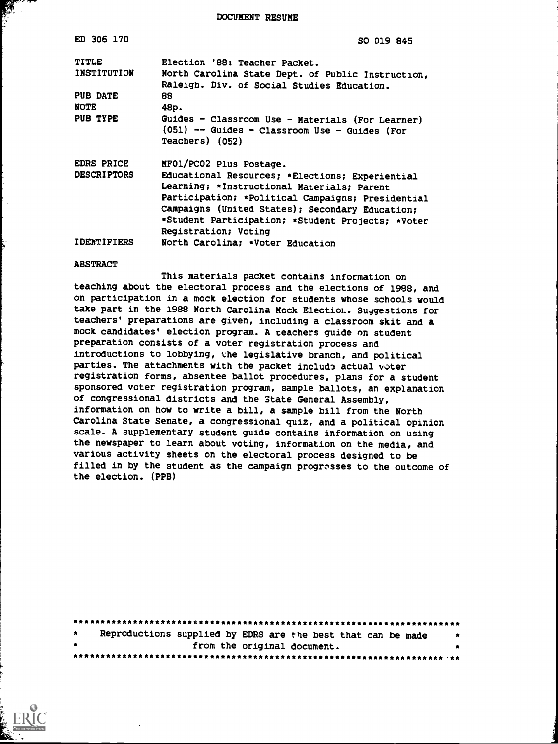DOCUMENT RESUME

| ED 306 170                                                         | SO 019 845                                                                                                                                                                                                                                                                                                                                        |
|--------------------------------------------------------------------|---------------------------------------------------------------------------------------------------------------------------------------------------------------------------------------------------------------------------------------------------------------------------------------------------------------------------------------------------|
| TITLE<br><b>INSTITUTION</b><br>PUB DATE<br><b>NOTE</b><br>PUB TYPE | Election '88: Teacher Packet.<br>North Carolina State Dept. of Public Instruction,<br>Raleigh. Div. of Social Studies Education.<br>88<br>48p.<br>Guides - Classroom Use - Materials (For Learner)<br>(051) -- Guides - Classroom Use - Guides (For<br>Teachers) (052)                                                                            |
| <b>EDRS PRICE</b><br><b>DESCRIPTORS</b><br><b>IDENTIFIERS</b>      | MFO1/PC02 Plus Postage.<br>Educational Resources; *Elections; Experiential<br>Learning; *Instructional Materials; Parent<br>Participation; *Political Campaigns; Presidential<br>Campaigns (United States); Secondary Education;<br>*Student Participation; *Student Projects; *Voter<br>Registration; Voting<br>North Carolina; *Voter Education |

#### ABSTRACT

This materials packet contains information on teaching about the electoral process and the elections of 1988, and on participation in a mock election for students whose schools would take part in the 1988 North Carolina Mock Electioi.. Sujgestions for teachers' preparations are given, including a classroom skit and a mock candidates' election program. A teachers guide on student preparation consists of a voter registration process and introductions to lobbying, the legislative branch, and political parties. The attachments with the packet include actual voter registration forms, absentee ballot procedures, plans for a student sponsored voter registration program, sample ballots, an explanation of congressional districts and the State General Assembly, information on how to write a bill, a sample bill from the North Carolina State Senate, a congressional quiz, and a political opinion scale. A supplementary student guide contains information on using the newspaper to learn about voting, information on the media, and various activity sheets on the electoral process designed to be filled in by the student as the campaign progresses to the outcome of the election. (PPB)

| $\star$   | Reproductions supplied by EDRS are the best that can be made<br>$\cdot$ |  |  |  |  |  |  |
|-----------|-------------------------------------------------------------------------|--|--|--|--|--|--|
| $\bullet$ | from the original document.                                             |  |  |  |  |  |  |
|           |                                                                         |  |  |  |  |  |  |

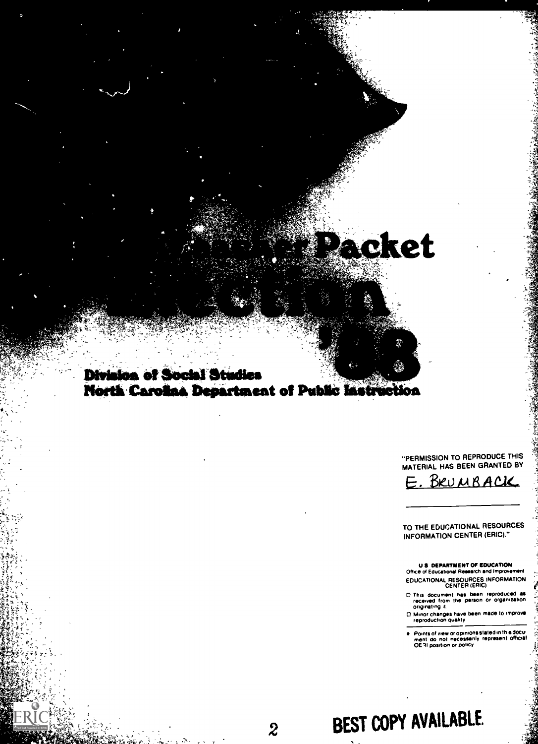# Packet

### **Division of Social Studies** North Carolina Department of Public Instruction

#### "PERMISSION TO REPRODUCE THIS MATERIAL HAS BEEN GRANTED BY

 $-744$ 

BRUMBACK

#### TO THE EDUCATIONAL RESOURCES INFORMATION CENTER (ERIC)"

#### U S DEPARTMENT OF EDUCATION<br>Office of Educational Research and improvement EDUCATIONAL RESOURCES INFORMATION

- This document has been reproduced as<br>received from the person or organization<br>originating it.
- $\Box$  Minor changes have been made to improve  $\frac{1}{2}$ <br>reproduction quality
- Points of view or opinions stated in this docure.<br>| ment: do: not: necessarily: represent: official:<br>| OE31 position or policy

# 2 BEST COPY AVAILABLE.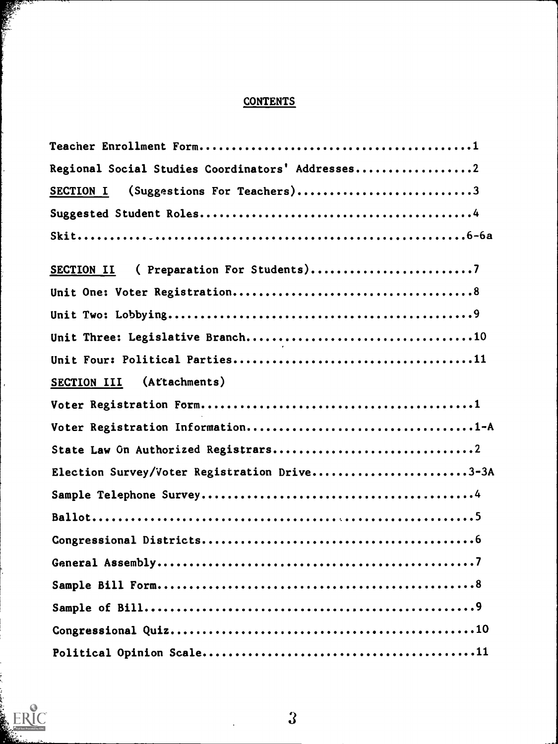## **CONTENTS**

| Regional Social Studies Coordinators' Addresses2 |
|--------------------------------------------------|
| (Suggestions For Teachers)3<br>SECTION I         |
|                                                  |
|                                                  |
| ( Preparation For Students)7<br>SECTION II       |
|                                                  |
|                                                  |
|                                                  |
|                                                  |
| (Attachments)<br>SECTION III                     |
|                                                  |
| Voter Registration Information1-A                |
|                                                  |
| Election Survey/Voter Registration Drive3-3A     |
|                                                  |
|                                                  |
|                                                  |
|                                                  |
|                                                  |
|                                                  |
|                                                  |
|                                                  |



Ĭ

 $\hat{\mathcal{A}}$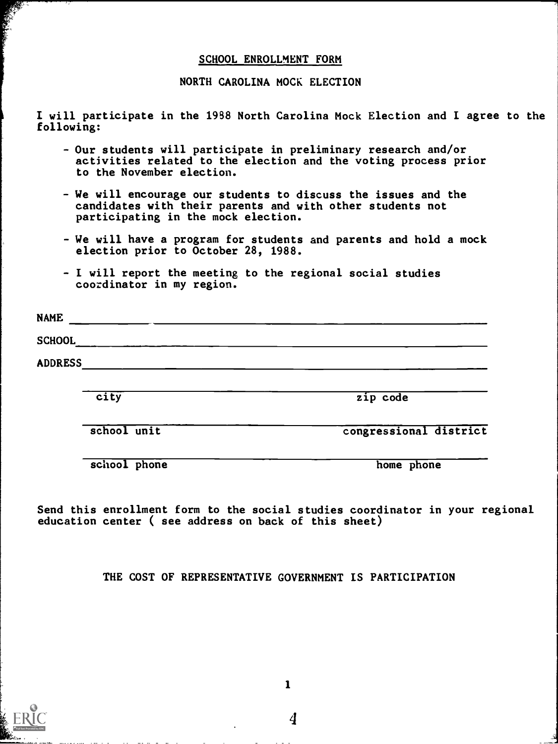#### SCHOOL ENROLLMENT FORM

NORTH CAROLINA MOCK ELECTION

I will participate in the 1938 North Carolina Mock Election and I agree to the following:

- Our students will participate in preliminary research and/or activities related to the election and the voting process prior to the November election.
- We will encourage our students to discuss the issues and the candidates with their parents and with other students not participating in the mock election.
- We will have a program for students and parents and hold a mock election prior to October 28, 1988.
- I will report the meeting to the regional social studies coordinator in my region.

| <b>NAME</b>    |  |  |  |
|----------------|--|--|--|
| <b>SCHOOL</b>  |  |  |  |
| <b>ADDRESS</b> |  |  |  |
|                |  |  |  |

city and the city code city

school unit congressional district

school phone home home home phone

Send this enrollment form to the social studies coordinator in your regional education center ( see address on back of this sheet)

THE COST OF REPRESENTATIVE GOVERNMENT IS PARTICIPATION

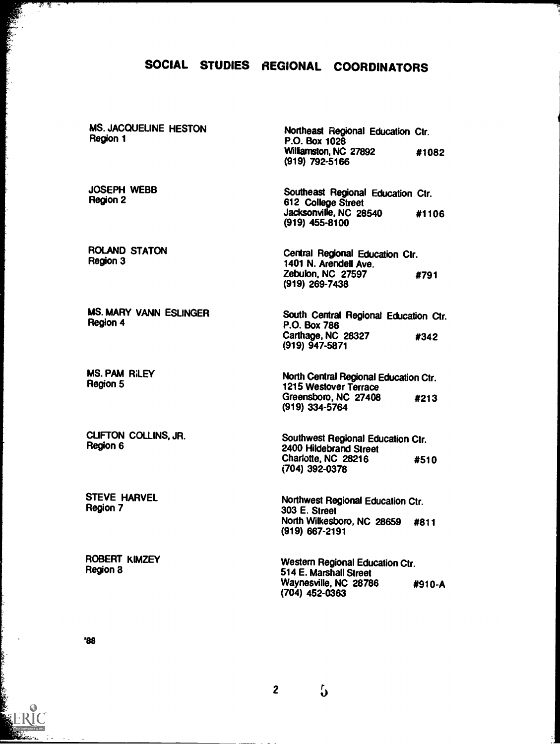### SOCIAL STUDIES REGIONAL COORDINATORS

MS. JACQUELINE HESTON Region 1

JOSEPH WEBB Region 2

्रः<br>राज्ञ श्रू

ROLAND STATON Region 3

MS. MARY VANN ESLINGER Region 4

MS. PAM RILEY Region 5

CLIFTON COLLINS, JR. Region 6

STEVE HARVEL Region 7

ROBERT KIMZEY Region 3

Northeast Regional Education Ctr. P.O. Box 1028 Williamston, NC 27892 #1082 (919) 792-5166

Southeast Regional Education Ctr. 612 College Street Jacksonville, NC 28540 #1106 (919) 455-8100

Central Regional Education Ctr. 1401 N. Arendell Ave. Zebubn, NC 27597 #791 (919) 269-7438

South Central Regional Education Ctr. P.O. Box 786 Carthage, NC 28327 #342 (919) 947-5871

North Central Regional Education Ctr. 1215 Westover Terrace Greensboro, NC 27408 #213 (919) 334-5764

Southwest Regional Education Ctr. 2400 Hildebrand Street Charlotte, NC 28216 #510 (704) 392-0378

Northwest Regional Education Ctr. 303 E. Street North Wilkesboro, NC 28659 #811 (919) 667-2191

Western Regional Education Ctr. 514 E. Marshall Street Waynesville, NC 28786 #910-A (704) 452-0363

'88

2  $\int$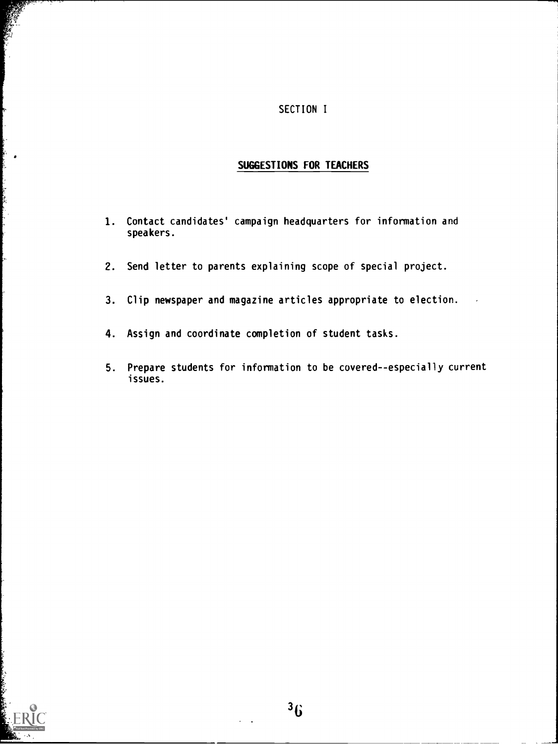#### SECTION I

#### SUGGESTIONS FOR TEACHERS

- 1. Contact candidates' campaign headquarters for information and speakers.
- 2. Send letter to parents explaining scope of special project.
- 3. Clip newspaper and magazine articles appropriate to election.
- 4. Assign and coordinate completion of student tasks.
- 5. Prepare students for information to be covered--especially current issues.



**Controller**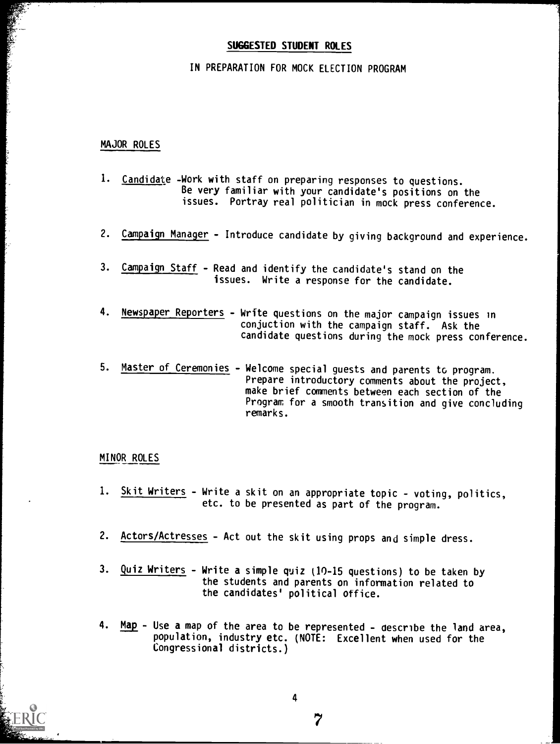#### SUGGESTED STUDENT ROLES

#### IN PREPARATION FOR MOCK ELECTION PROGRAM

#### MAJOR ROLES

- 1. Candidate -Work with staff on preparing responses to questions. Be very familiar with your candidate's positions on the issues. Portray real politician in mock press conference.
- 2. Campaign Manager Introduce candidate by giving background and experience.
- 3. Campaign Staff Read and identify the candidate's stand on the issues. Write a response for the candidate.
- 4. Newspaper Reporters Write questions on the major campaign issues in conjuction with the campaign staff. Ask the candidate questions during the mock press conference.
- 5. Master of Ceremonies Welcome special guests and parents to program. Prepare introductory comments about the project, make brief comments between each section of the Program for a smooth transition and give concluding remarks.

#### MINOR ROLES

- 1. Skit Writers Write a skit on an appropriate topic voting, politics, etc. to be presented as part of the program.
- 2. Actors/Actresses Act out the skit using props and simple dress.
- 3. Quiz Writers Write a simple quiz (10-15 questions) to be taken by the students and parents on information related to the candidates' political office.
- 4. Map Use a map of the area to be represented describe the land area, population, industry etc. (NOTE: Excellent when used for the Congressional districts.)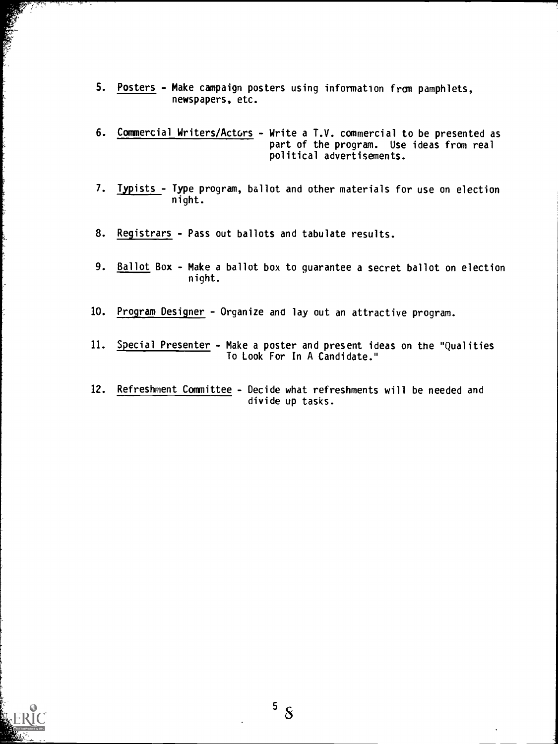- 5. Posters Make campaign posters using information from pamphlets, newspapers, etc.
- 6. Commercial Writers/Actors Write a T.V. commercial to be presented as part of the program. Use ideas from real political advertisements.
- 7. Typists Type program, ballot and other materials for use on election night.
- 8. Registrars Pass out ballots and tabulate results.
- 9. Ballot Box Make a ballot box to guarantee a secret ballot on election night.
- 10. Program Designer Organize ana lay out an attractive program.
- 11. Special Presenter Make a poster and present ideas on the "Qualities To Look For In A Candidate."
- 12. Refreshment Committee Decide what refreshments will be needed and divide up tasks.



 $5\,$   $8$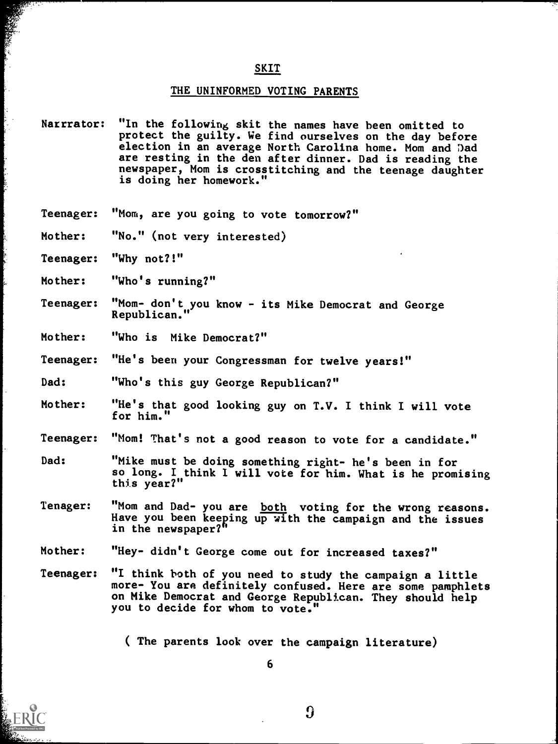#### SKIT

#### THE UNINFORMED VOTING PARENTS

- Natrrator: "In the following skit the names have been omitted to protect the guilty. We find ourselves on the day before election in an average North Carolina home. Mom and Dad are resting in the den after dinner. Dad is reading the newspaper, Mom is crosstitching and the teenage daughter is doing her homework."
- Teenager: "Mom, are you going to vote tomorrow?"
- Mother: "No." (not very interested)
- Teenager: "Why not?!"
- Mother: "Who's running?"
- Teenager: "Mom- don't you know - its Mike Democrat and George Republican."
- Mother: "Who is Mike Democrat?"
- Teenager: "He's been your Congressman for twelve years!"
- Dad: "Who's this guy George Republican?"
- Mother: "He's that good looking guy on T.V. I think I will vote for him."
- Teenager: "Mom! That's not a good reason to vote for a candidate."
- Dad: "Mike must be doing something right- he's been in for so long. I think I will vote for him. What is he promising this year?"
- Tenager: "Mom and Dad- you are both voting for the wrong reasons. Have you been keeping up with the campaign and the issues in the newspaper?"
- Mother: "Hey- didn't George come out for increased taxes?"
- Teenager: "I think both of you need to study the campaign a little more- You are definitely confused. Here are some pamphlets on Mike Democrat and George Republican. They should help you to decide for whom to vote.

( The parents look over the campaign literature)

 $\Omega$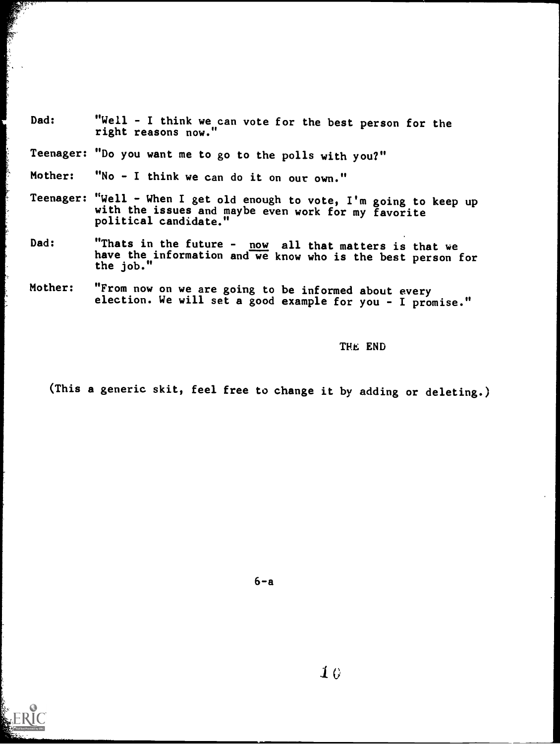Dad: "Well - I think we can vote for the best person for the right reasons now."

Teenager: "Do you want me to go to the polls with you?"

Mother: "No - I think we can do it on our own."

- Teenager: "Well When I get old enough to vote, I'm going to keep up with the issues and maybe even work for my favorite political candidate."
- Dad: "Thats in the future  $\frac{now}{and}$  all that matters is that we have the information and we know who is the best person for the job."
- Mother: "From now on we are going to be informed about every election. We will set a good example for you - I promise."

THE END

(This a generic skit, feel free to change it by adding or deleting.)





 $\mathbf{1}$  $\theta$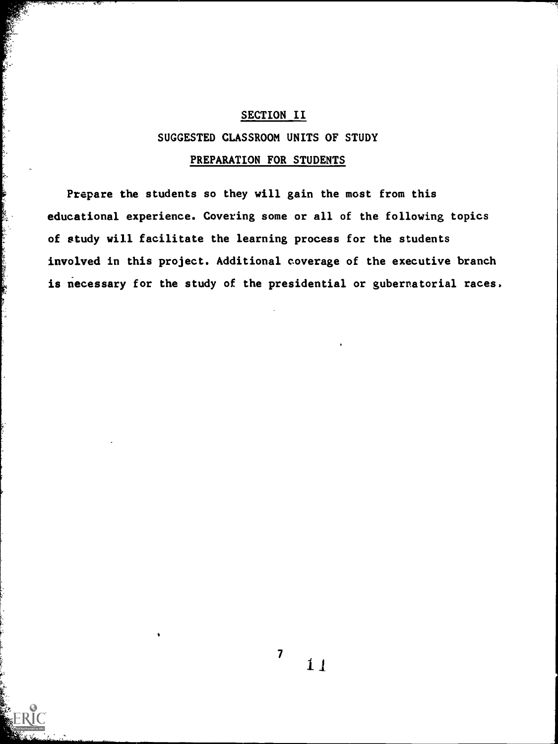#### SECTION II

#### SUGGESTED CLASSROOM UNITS OF STUDY

#### PREPARATION FOR STUDENTS

Prepare the students so they will gain the most from this educational experience. Covering some or all of the following topics of study will facilitate the learning process for the students involved in this project. Additional coverage of the executive branch is necessary for the study of the presidential or gubernatorial races.

**この時代に、「今の中国の日本の地方のある」の意味を見る。** 

 $\overline{\mathbf{z}}$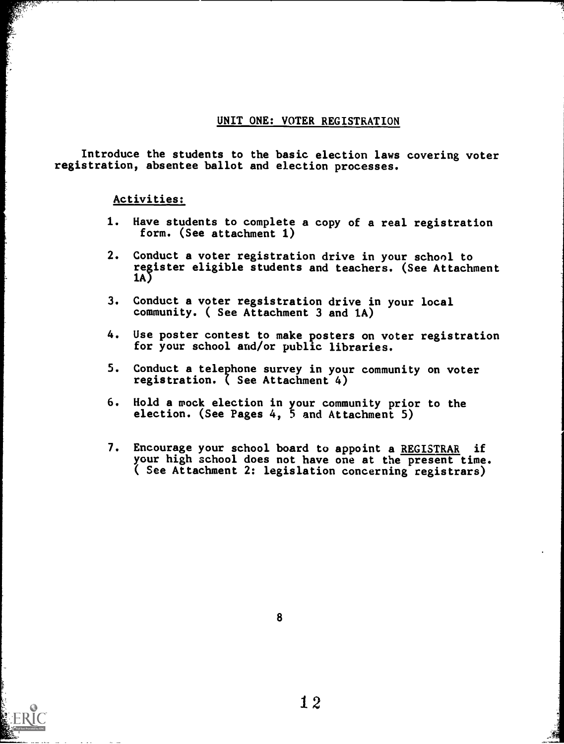#### UNIT ONE: VOTER REGISTRATION

Introduce the students to the basic election laws covering voter registration, absentee ballot and election processes.

#### Activities:

- 1. Have students to complete a copy of a real registration form. (See attachment 1)
- 2. Conduct a voter registration drive in your school to register eligible students and teachers. (See Attachment 1A)
- 3. Conduct a voter regsistration drive in your local community. ( See Attachment 3 and 1A)
- 4. Use poster contest to make posters on voter registration for your school and/or public libraries.
- 5. Conduct a telephone survey in your community on voter registration. ( See Attachment 4)
- 6. Hold a mock election in your community prior election. (See Pages 4, 5 and Attachment 5) to the
- 7. Encourage your school board to appoint a REGISTRAR if your high school does not have one at the present time. ( See Attachment 2: legislation concerning registrars)

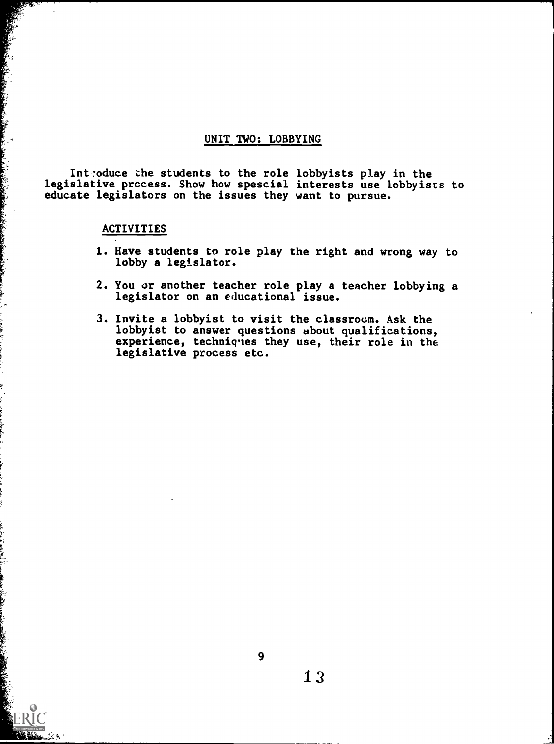#### UNIT TWO: LOBBYING

Introduce the students to the role lobbyists play in the legislative process. Show how spescial interests use lobbyists to educate legislators on the issues they want to pursue.

#### ACTIVITIES

- 1. Have students to role play the right and wrong way to lobby a legislator.
- 2. You or another teacher role play a teacher lobbying a legislator on an educational issue.
- 3. Invite a lobbyist to visit the classroom. Ask the lobbyist to answer questions about qualifications, experience, techniques they use, their role in the legislative process etc.

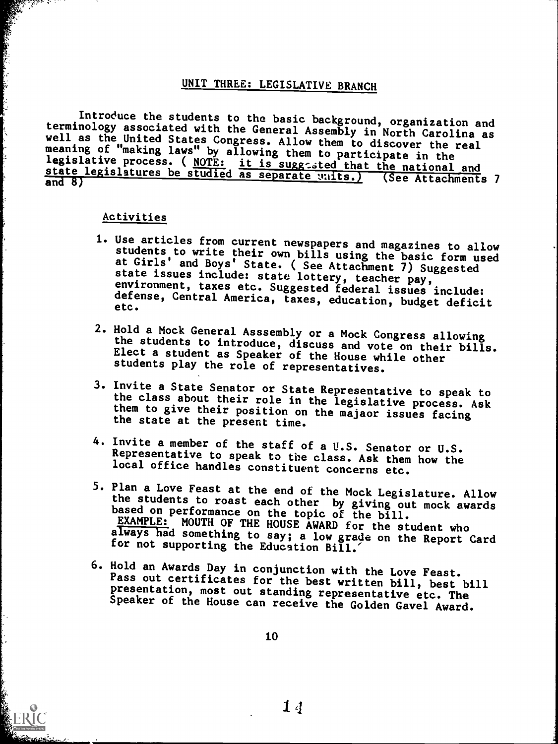#### UNIT THREE: LEGISLATIVE BRANCH

Introduce the students to the basic background, organization and<br>terminology associated with the General Assembly in North Carolina as<br>well as the United States Congress. Allow them to discover the real<br>meaning of "making

#### Activities

- 1. Use articles from current newspapers and magazines to allow<br>students to write their own bills using the basic form used<br>at Girls' and Boys' State. (See Attachment 7) Suggested<br>state issues include: state lottery, teache
- 2. Hold a Mock General Asssembly or a Mock Congress allowing the students to introduce, discuss and vote on their bills. Elect a student as Speaker of the House while other students play the role of representatives.
- 3. Invite a State Senator or State Representative to speak to the class about their role in the legislative process. Ask them to give their position on the majaor issues facing the state at the present time.
- 4. Invite a member of the staff of a U.S. Senator or U.S. Representative to speak to the class. Ask them how the local office handles constituent concerns etc.
- 5. Plan a Love Feast at the end of the Mock Legislature. Allow the students to roast each other by giving out mock awards based on performance on the topic of the bill. EXAMPLE: MOUTH OF THE HOUSE AWARD for the student who always had something to say; a low grade on the Report Card for not supporting the Education Bill.
- 6. Hold an Awards Day in conjunction with the Love Feast.<br>Pass out certificates for the best written bill, best bill<br>presentation, most out standing representative etc. The<br>Speaker of the House can receive the Golden Gavel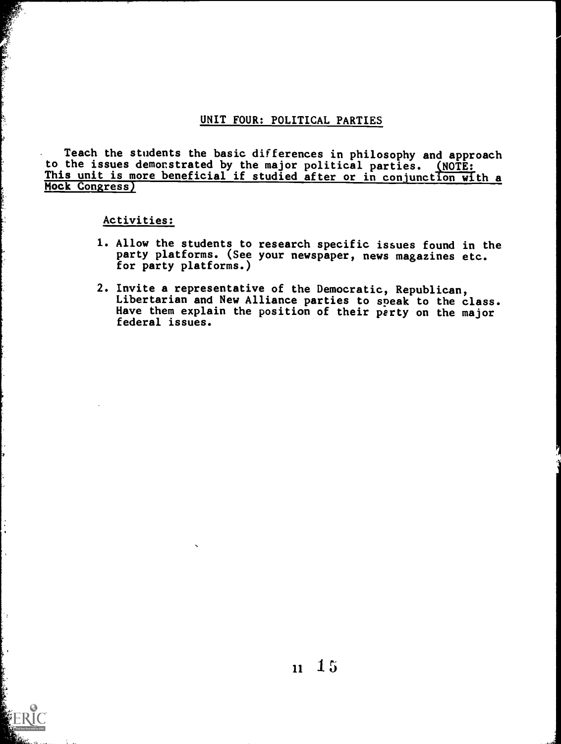#### UNIT FOUR: POLITICAL PARTIES

Teach the students the basic differences in philosophy and approach to the issues demonstrated by the major political parties. <u>(NOTE:</u> This unit is more beneficial if studied after or in conjunction with a Mock Congress)

Activities:

- 1. Allow the students to research specific issues found in the party platforms. (See your newspaper, news magazines etc. for party platforms.)
- 2. Invite a representative of the Democratic, Republican, Libertarian and New Alliance parties to speak to the class. Have them explain the position of their perty on the major federal issues.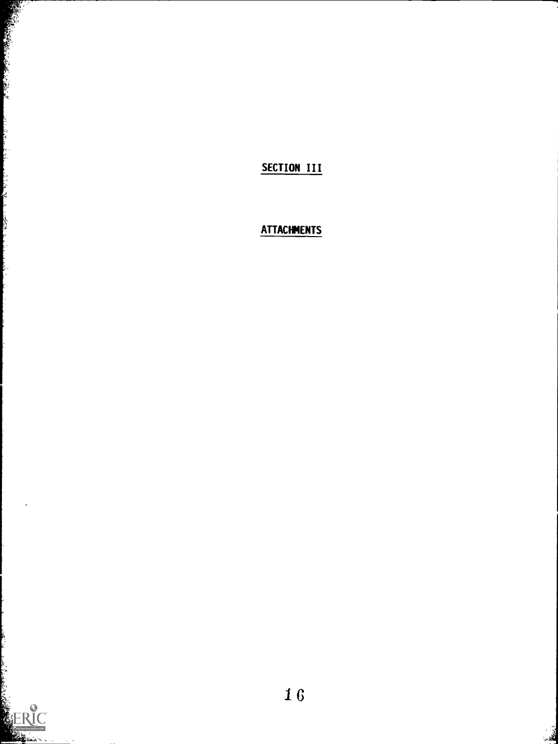SECTION III

المتكسب والمستقصر

Ļ,

المنازعين ķ

والمقادر

## **ATTACHMENTS**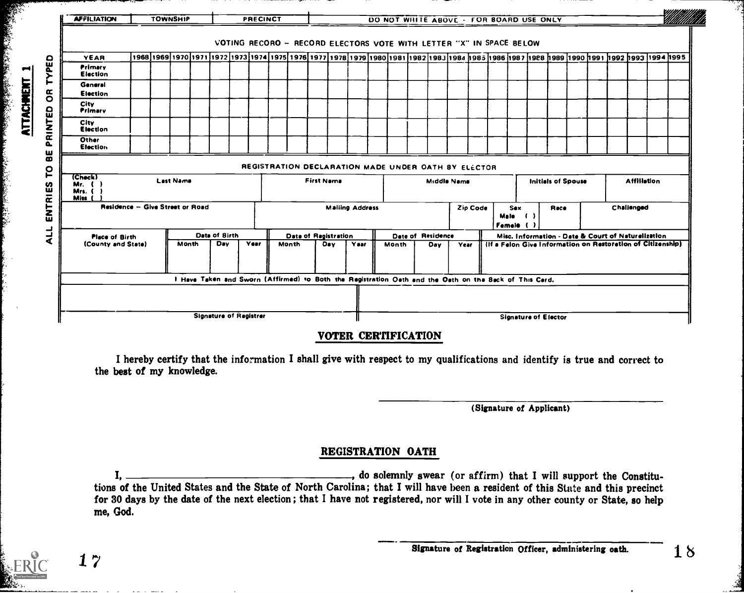| <b>AFFILIATION</b>                          |  | <b>TOWNSHIP</b> |                  |                                                                                                        |                               |  | PRECINCT                                                            |  |                                                                                                |                      |                   |      |                                          | DO NOT WHITE ABOVE - FOR BOARD USE ONLY |  |                   |                    |  |                             |  |  |  |  |                                                                                                                                                                                          |  |
|---------------------------------------------|--|-----------------|------------------|--------------------------------------------------------------------------------------------------------|-------------------------------|--|---------------------------------------------------------------------|--|------------------------------------------------------------------------------------------------|----------------------|-------------------|------|------------------------------------------|-----------------------------------------|--|-------------------|--------------------|--|-----------------------------|--|--|--|--|------------------------------------------------------------------------------------------------------------------------------------------------------------------------------------------|--|
|                                             |  |                 |                  |                                                                                                        |                               |  | VOTING RECORO - RECORD ELECTORS VOTE WITH LETTER "X" IN SPACE BELOW |  |                                                                                                |                      |                   |      |                                          |                                         |  |                   |                    |  |                             |  |  |  |  |                                                                                                                                                                                          |  |
| YEAR                                        |  |                 |                  |                                                                                                        |                               |  |                                                                     |  |                                                                                                |                      |                   |      |                                          |                                         |  |                   |                    |  |                             |  |  |  |  | aeer  seer  ceer  ceer  ceer  ceer  eaer  seer  saer  saer  saer  saer  raer  oaer  ecer  acer  scer  scer  ster  scer  scer  scer  scer  scer  scer  scer  scer  scer  scer  scer  scer |  |
| Primary<br>Election                         |  |                 |                  |                                                                                                        |                               |  |                                                                     |  |                                                                                                |                      |                   |      |                                          |                                         |  |                   |                    |  |                             |  |  |  |  |                                                                                                                                                                                          |  |
| General<br><b>Election</b>                  |  |                 |                  |                                                                                                        |                               |  |                                                                     |  |                                                                                                |                      |                   |      |                                          |                                         |  |                   |                    |  |                             |  |  |  |  |                                                                                                                                                                                          |  |
| <b>City</b><br>Primary                      |  |                 |                  |                                                                                                        |                               |  |                                                                     |  |                                                                                                |                      |                   |      |                                          |                                         |  |                   |                    |  |                             |  |  |  |  |                                                                                                                                                                                          |  |
| City<br>Election                            |  |                 |                  |                                                                                                        |                               |  |                                                                     |  |                                                                                                |                      |                   |      |                                          |                                         |  |                   |                    |  |                             |  |  |  |  |                                                                                                                                                                                          |  |
| Other<br><b>Election</b>                    |  |                 |                  |                                                                                                        |                               |  |                                                                     |  |                                                                                                |                      |                   |      |                                          |                                         |  |                   |                    |  |                             |  |  |  |  |                                                                                                                                                                                          |  |
|                                             |  |                 |                  |                                                                                                        |                               |  | REGISTRATION DECLARATION MADE UNDER OATH BY ELECTOR                 |  |                                                                                                |                      |                   |      |                                          |                                         |  |                   |                    |  |                             |  |  |  |  |                                                                                                                                                                                          |  |
| (Check)<br>Mr. $( )$<br>Mrs.<br><b>Miss</b> |  |                 | <b>Last Name</b> |                                                                                                        |                               |  |                                                                     |  |                                                                                                |                      | <b>First Name</b> |      | <b>Initials of Spouse</b><br>Middle Nama |                                         |  |                   | <b>Affiliation</b> |  |                             |  |  |  |  |                                                                                                                                                                                          |  |
| Residence - Give Street or Road             |  |                 |                  |                                                                                                        |                               |  |                                                                     |  | Challenged<br><b>Mailing Address</b><br>Zio Code<br><b>Sex</b><br>Race<br>Male ( )<br>Female ( |                      |                   |      |                                          |                                         |  |                   |                    |  |                             |  |  |  |  |                                                                                                                                                                                          |  |
| <b>Place of Birth</b>                       |  |                 |                  |                                                                                                        | Data of Birth                 |  |                                                                     |  |                                                                                                | Data of Ragistration |                   |      |                                          |                                         |  | Date of Residence |                    |  |                             |  |  |  |  | Misc. Information - Date & Court of Naturelization                                                                                                                                       |  |
| (County and State)                          |  |                 | Month            |                                                                                                        | <b>Dav</b>                    |  | Year                                                                |  | <b>Month</b>                                                                                   | Day                  |                   | Year |                                          | Month                                   |  | Day               | Year               |  |                             |  |  |  |  | (If a Felon Give Information on Restoration of Citizenship)                                                                                                                              |  |
|                                             |  |                 |                  | I Have Taken and Sworn (Affirmed) to Both the Registration Oath and the Oath on the Back of This Card. |                               |  |                                                                     |  |                                                                                                |                      |                   |      |                                          |                                         |  |                   |                    |  |                             |  |  |  |  |                                                                                                                                                                                          |  |
|                                             |  |                 |                  |                                                                                                        |                               |  |                                                                     |  |                                                                                                |                      |                   |      |                                          |                                         |  |                   |                    |  |                             |  |  |  |  |                                                                                                                                                                                          |  |
|                                             |  |                 |                  |                                                                                                        | <b>Signature of Ragistrer</b> |  |                                                                     |  |                                                                                                |                      |                   |      |                                          |                                         |  |                   |                    |  | <b>Signature of Elector</b> |  |  |  |  |                                                                                                                                                                                          |  |

**ATTACHMENT 1** 

 $17$ 

#### VOTER CERTIFICATION

I hereby certify that the information I shall give with respect to my qualifications and identify is true and correct to the best of my knowledge.

(Signature of Applicant)

#### REGISTRATION OATH

..., do solemnly swear (or affirm) that I will support the Constitu-I. tions of the United States and the State of North Carolina; that I will have been a resident of this State and this precinct for 30 days by the date of the next election ; that I have not registered, nor will I vote in any other county or State, so help me, God.

 $\mathcal{S}^{\mathcal{A}}$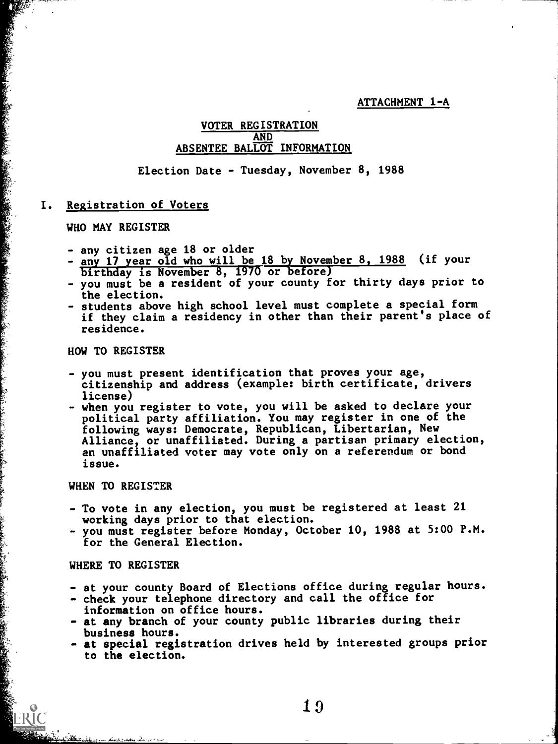ATTACHMENT 1-A

#### VOTER REGISTRATION AND ABSENTEE BALLOT INFORMATION

Election Date - Tuesday, November 8, 1988

#### I. Registration of Voters

WHO MAY REGISTER

1999年1月1日には、1999年1月1日には、1999年1月1日には、1999年1月1日には、1999年1月1日には、1999年1月1日には、1999年1月1日には、1999年1月1日には、1999年1月1日には、199<br>1999年1月1日には、1999年1月1日には、1999年1月1日には、1999年1月1日には、1999年1月1日には、1999年1月1日には、1999年1月1日には、1999年1月1日には、1999年1月1日には

- any citizen age 18 or older
- any 17 year old who will be 18 by November 8, 1988 (if your birthday is November 8, 1976 or before)
- you must be a resident of your county for thirty days prior to the election.
- students above high school level must complete a special form if they claim a residency in other than their parent's place of residence.

#### HOW TO REGISTER

- you must present identification that proves your age, citizenship and address (example: birth certificate, drivers license)
- when you register to vote, you will be asked to declare your political party affiliation. You may register in one of the following ways: Democrate, Republican, Libertarian, New Alliance, or unaffiliated. During a partisan primary election, an unaffiliated voter may vote only on a referendum or bond issue.

#### WHEN TO REGISTER

- To vote in any election, you must be registered at least 21 working days prior to that election.
- you must register before Monday, October 10, 1988 at 5:00 P.M. for the General Election.

#### WHERE TO REGISTER

- at your county Board of Elections office during regular hours.
- check your telephone directory and call the office for information on office hours.
- at any branch of your county public libraries during their business hours.
- at special registration drives held by interested groups prior to the election.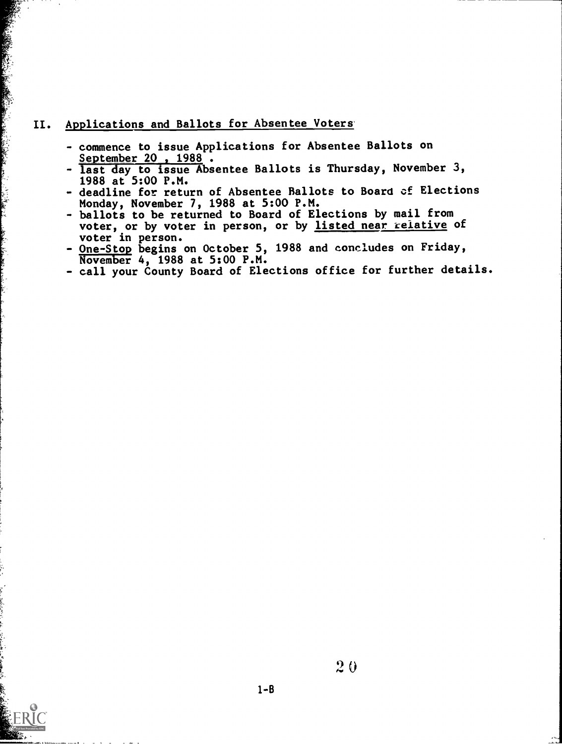#### II. Applications and Ballots for Absentee Voters

- commence to issue Applications for Absentee Ballots on<br>September 20, 1988.
- **September 20, 1900 :<br>- last day to issue Absentee Ballots is Thursday, November 3,** 1988 at 5:00 P.M.
- deadline for return of Absentee Ballots to Board of Elections Monday, November 7, 1988 at 5:00 P.M.
- ballots to be returned to Board of Elections by mail from voter, or by voter in person, or by listed near relative of voter in person.
- One-Stop begins on October 5, 1988 and concludes on Friday, November 4, 1988 at 5:00 P.M.
- call your County Board of Elections office for further details.

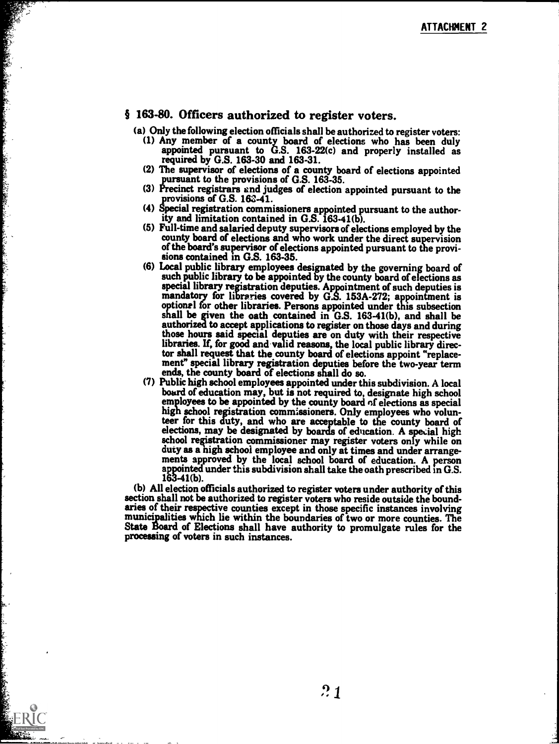#### § 163-80. Officers authorized to register voters.

**CONTRACTOR** 

- (a) Only the following election officials shall be authorized to register voters: (1) Any member of a county board of elections who has been duly appointed pursuant to G.S. 163-22(c) and properly installed as required by G.S. 163-30 and 163-31.
	- (2) The supervisor of elections of a county board of elections appointed
	- (3) Precinct registrars and judges of election appointed pursuant to the provisions of G.S. 163-41.
	- (4) Special registration commissioners appointed pursuant to the authority and limitation contained in G.S. 163-41(b).
	- county board of elections and who work under the direct supervision of the board's supervisor of elections appointed pursuant to the provi- sions contained in G.S. 163-35.
	- such public library to be appointed by the county board of elections as special library registration deputies. Appointment of such deputies is mandatory for libraries covered by G.S. 153A-272; appointment is optional for other libraries. Persons appointed under this subsection shall be given the oath contained in G.S. 163-41(b), and shall be authorized to accept applications to register on those days and during those hours said special deputies are on duty with their respective libraries. If, for good and valid reasons, the local public library director shall request that the county board of elections appoint "replacement" special library registration deputies before the two-year term
	- ends, the county board of elections shall do so.<br>(7) Public high school employees appointed under this subdivision. A local board of education may, but is not required to, designate high school employees to be appointed by the county board of elections as special high school registration commissioners. Only employees who volunteer for this duty, and who are acceptable to the county board of elections, may be designated by boards of education. A special high school registration commissioner may register voters only while on duty as a high school employee and only at times and under arrangements approved by the local school board of education. A person appointed under this subdivision shall take the oath prescribed in G.S. 163-41(b).

(b) All election officials authorized to register voters under authority of this aries of their respective counties except in those specific instances involving<br>municipalities which lie within the boundaries of two or more counties. The<br>State Board of Elections shall have authority to promulgate rules

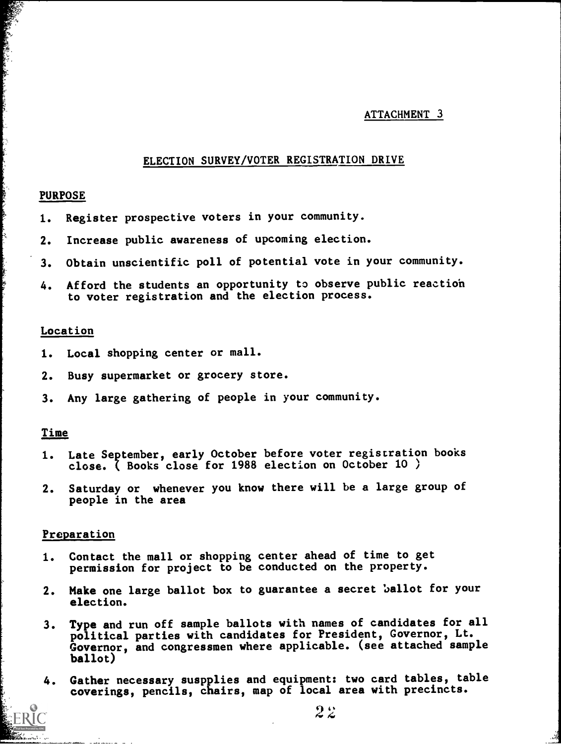#### ATTACHMENT 3

#### ELECTION SURVEY/VOTER REGISTRATION DRIVE

#### PURPOSE

- 1. Register prospective voters in your community.
- 2. Increase public awareness of upcoming election.
- 3. Obtain unscientific poll of potential vote in your community.
- 4. Afford the students an opportunity to observe public reaction to voter registration and the election process.

#### Location

- 1. Local shopping center or mall.
- 2. Busy supermarket or grocery store.
- 3. Any large gathering of people in your community.

#### Time

- 1. Late September, early October before voter registration books close. ( Books close for 1988 election on October 10 )
- 2. Saturday or whenever you know there will be a large group of people in the area

#### Preparation

- 1. Contact the mall or shopping center ahead of time to get permission for project to be conducted on the property.
- 2. Make one large ballot box to guarantee a secret ballot for your election.
- 3. Type and run off sample ballots with names of candidates for all political parties with candidates for President, Governor, Lt. Governor, and congressmen where applicable. (see attached sample ballot)
- 4. Gather necessary suspplies and equipment: two card tables, table coverings, pencils, chairs, map of local area with precincts.

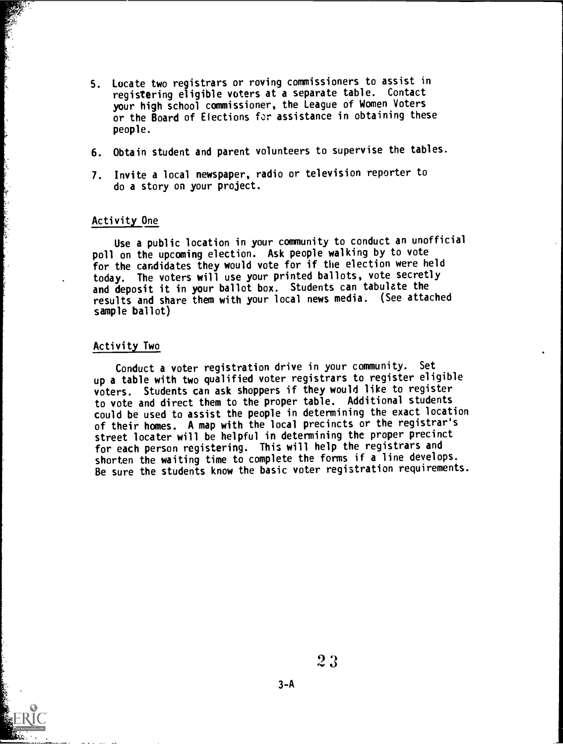- 5. Locate two registrars or roving commissioners to assist in registering eligible voters at a separate table. Contact your high school commissioner, the League of Women Voters or the Board of Elections for assistance in obtaining these people.
- 6. Obtain student and parent volunteers to supervise the tables.
- 7. Invite a local newspaper, radio or television reporter to do a story on your project.

#### Activity One

ا او داد امواده امراد به مواده میشود. از این تولید به مواده مواده بود به مواده بود به مواده بود به مواده بود ب

Use a public location in your community to conduct an unofficial poll on the upcoming election. Ask people walking by to vote for the candidates they would vote for if the election were held today. The voters will use your printed ballots, vote secretly and deposit it in your ballot box. Students can tabulate the results and share them with your local news media. (See attached sample ballot)

#### Activity Two

Conduct a voter registration drive in your community. Set up a table with two qualified voter registrars to register eligible voters. Students can ask shoppers if they would like to register to vote and direct them to the proper table. Additional students could be used to assist the people in determining the exact location of their homes. A map with the local precincts or the registrar's street locater will be helpful in determining the proper precinct for each person registering. This will help the registrars and shorten the waiting time to complete the forms if a line develops. Be sure the students know the basic voter registration requirements.

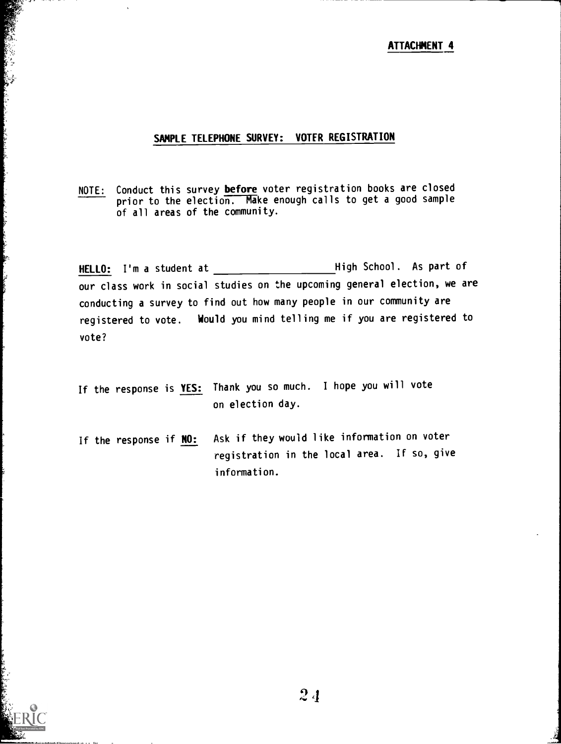#### ATTACHMENT 4

#### SAMPLE TELEPHONE SURVEY: VOTER REGISTRATION

di la contraction and the seconds

i have a state and a state

NOTE: Conduct this survey before voter registration books are closed prior to the election. Make enough calls to get a good sample of all areas of the community.

HELLO: I'm a student at High School. As part of our class work in social studies on the upcoming general election, we are conducting a survey to find out how many people in our community are registered to vote. Would you mind telling me if you are registered to vote?

- If the response is **YES:** Thank you so much. I hope you will vote on election day.
- If the response if **NO:** Ask if they would like information on voter registration in the local area. If so, give information.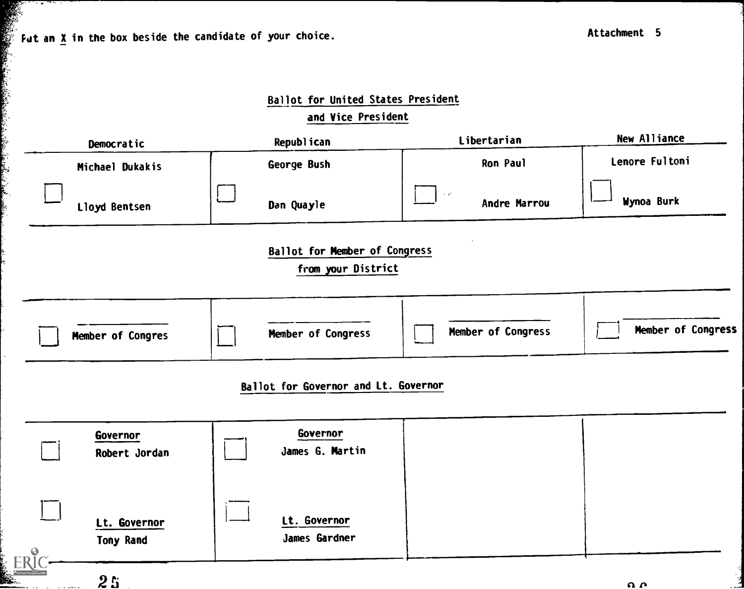Fut an X in the box beside the candidate of your choice.

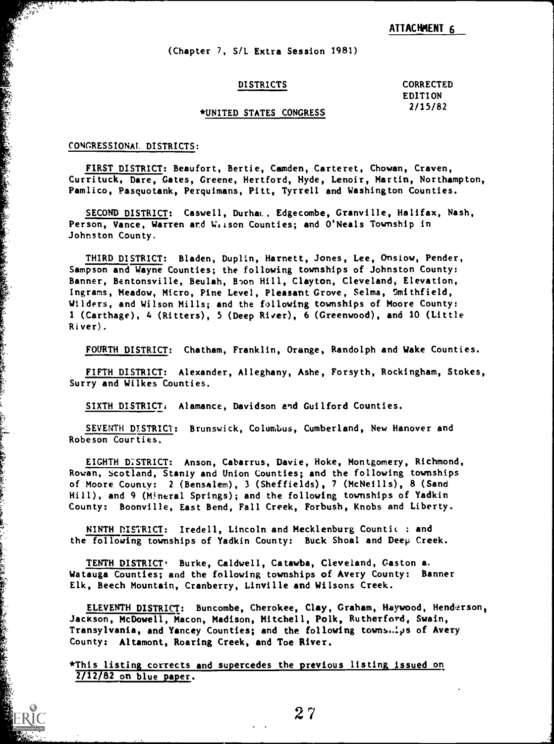#### ATTACHMENT 6

(Chapter 7, S/L Extra Session 1981)

DISTRICTS CORRECTED EDITION 2/15/82

#### \*UNITED STATES CONGRESS

#### CONGRESSIONAL. DISTRICTS:

en alle de la partida de la composició de la composició de la composició de la composició de la composició de l<br>Composició de la composició de la composició de la composició de la composició de la composició de la composic

FIRST DISTRICT: Beaufort, Bertie, Camden, Carteret, Chowan, Craven, Currituck, Dare, Gates, Greene, Hertford, Hyde, Lenoir, Martin, Northampton, Pamlico, Pasquotank, Perquimans, Pitt, Tyrrell and Washington Counties.

SECOND DISTRICT: Caswell, Durham., Edgecombe, Granville, Halifax, Nash, Person, Vance, Warren and Wiison Counties; and O'Neals Township in Johnston County,

THIRD DISTRICT: Bladen, Duplin, Harnett, Jones, Lee, Onslow, Pender, Sampson and Wayne Counties; the following townships of Johnston County: Banner, Bentonsville, Beulah, Boon Hill, Clayton, Cleveland, Elevation, Ingrarns, Meadow, Micro, Pine Level, Pleasant Grove, Selma, Smithfield, Wilders, and Wilson Mills; and the following townships of Moore County: 1 (Carthage), 4 (Ritters), 5 (Deep River), 6 (Greenwood), and 10 (Little River).

FOURTH DISTRICT: Chatham, Franklin, Orange, Randolph and Wake Counties.

FIFTH DISTRICT: Alexander, Alleghany, Ashe, Forsyth, Rockingham, Stokes, Surry and Wilkes Counties.

SIXTH DISTRICT. Alamance, Davidson and Guilford Counties.

SEVENTH DISTRICT: Brunswick, Columbus, Cumberland, New Hanover and Robeson Counties.

EIGHTH D'STRICT: Anson, Cabarrus, Davie, Hoke, Montgomery, Richmond, Rowan, Scotland, Stanly and Union Counties; and the following townships of Moore County: 2 (Bensalem), 3 (Sheffields), 7 (McNeills), 8 (Sand Hill), and 9 (Mineral Springs); and the following townships of Yadkin County: Boonville, East Bend, Fall Creek, Forbush, Knobs and Liberty.

NINTH DISTRICT: Iredell, Lincoln and Mecklenburg Countic : and the following townships of Yadkin County: Buck Shoal and Deep Creek.

TENTH DISTRICT. Burke, Caldwell, Catawba, Cleveland, Caston a. Watauga Counties; and the following townships of Avery County: Banner Elk, Beech Mountain, Cranberry, Linville and Wilsons Creek.

ELEVENTH DISTRICT: Buncombe, Cherokee, Clay, Graham, Haywood, Henderson, Jackson, McDowell, Macon, Madison, Mitchell, Polk, Rutherford, Swain, Transylvania, and Yancey Counties; and the following towns..4,s of Avery County: Altamont, Roaring Creek, and Toe River.

\*This listing corrects and supercedes the previous listing issued on  $2/12/82$  on blue paper.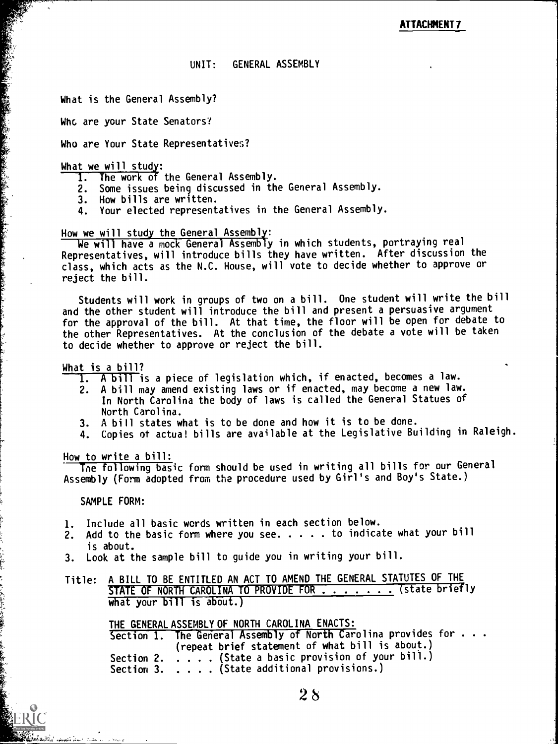#### UNIT: GENERAL ASSEMBLY

What is the General Assembly?

Whc are your State Senators?

Who are Your State Representatives?

#### What we will study:

- 1. The work of the General Assembly.
- 2. Some issues being discussed in the General Assembly.
- 3. How bills are written.
- 4. Your elected representatives in the General Assembly.

#### How we will study the General Assembly:

We will have a mock General Assembly in which students, portraying real Representatives, will introduce bills they have written. After discussion the class, which acts as the N.C. House, will vote to decide whether to approve or reject the bill.

Students will work in groups of two on a bill. One student will write the bill and the other student will introduce the bill and present a persuasive argument for the approval of the bill. At that time, the floor will be open for debate to the other Representatives. At the conclusion of the debate a vote will be taken to decide whether to approve or reject the bill.

#### What is a bill?

- 1. A bill is a piece of legislation which, if enacted, becomes a law.
- 2. A bill may amend existing laws or if enacted, may become a new law. In North Carolina the body of laws is called the General Statues of North Carolina.
- 3. A bill states what is to be done and how it is to be done.
- 4. Copies of actua! bills are available at the Legislative Building in Raleigh.

#### How to write a bill:

Tne following basic form should be used in writing all bills for our General Assembly (Form adopted from the procedure used by Girl's and Boy's State.)

#### SAMPLE FORM:

- 1. Include all basic words written in each section below.
- 2. Add to the basic form where you see.  $\dots$  . to indicate what your bill is about.
- 3. Look at the sample bill to guide you in writing your bill.
- Title: A BILL TO BE ENTITLED AN ACT TO AMEND THE GENERAL STATUTES OF THE STATE OF NORTH CAROLINA TO PROVIDE FOR . . . . . . (state briefly what your  $\text{bill}$  is about.)

THE GENERAL ASSEMBLY OF NORTH CAROLINA ENACTS:

Section 1. The General Assembly of North Carolina provides for . . . (repeat brief statement of what bill is about.) Section 2. . . . . (State a basic provision of your bill.) Section 3. . . . . (State additional provisions.)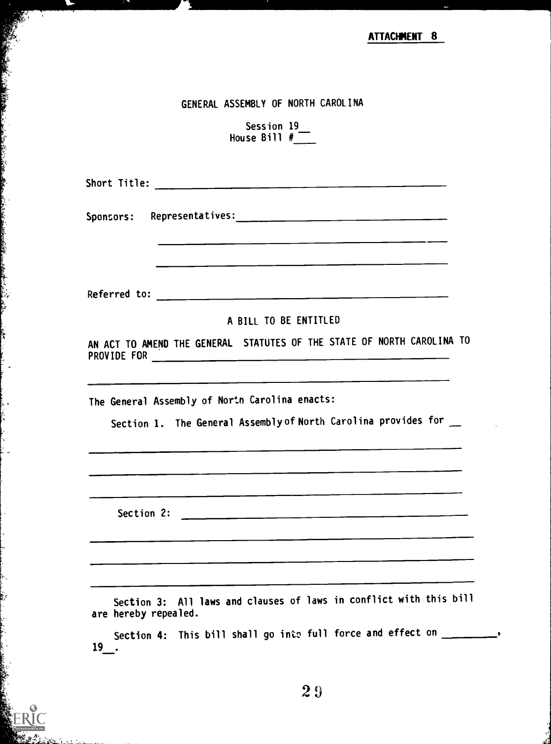**ATTACHMENT 8** 

#### GENERAL ASSEMBLY OF NORTH CAROLINA

Session 19\_\_\_ House Bill #\_\_\_\_\_

Short Title:

Sponsors: Representatives:

Referred to:

#### A BILL TO BE ENTITLED

AN ACT TO AMEND THE GENERAL STATUTES OF THE STATE OF NORTH CAROLINA TO PROVIDE FOR

The General Assembly of North Carolina enacts:

Section 1. The General Assembly of North Carolina provides for \_\_

Section 2:

Section 3: All laws and clauses of laws in conflict with this bill are hereby repealed.

Section 4: This bill shall go into full force and effect on \_\_\_\_\_\_\_\_\_ 19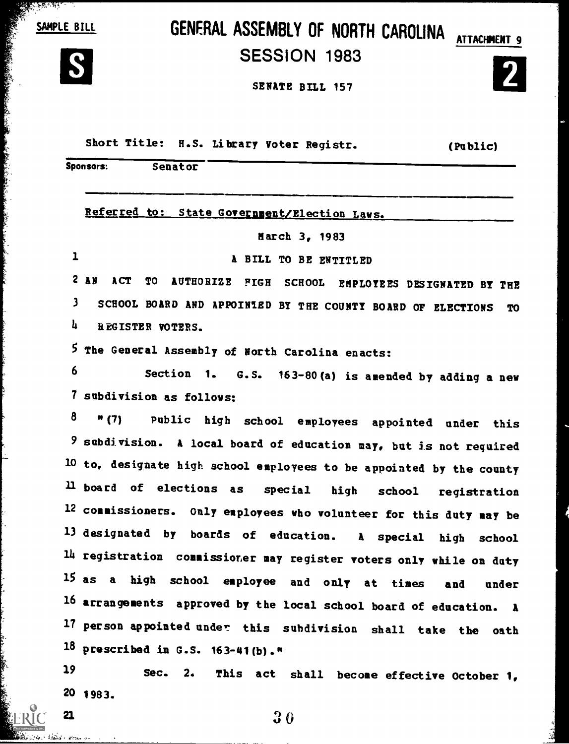SAMPLE BILL

<u>के प्रदेशक के पुण</u>

A PARA A CONTRACTOR CONTRACTOR AND CONTRACTOR AND CONTRACTOR

# GENERAL ASSEMBLY OF NORTH CAROLINA ATTACHMENT 9



## SESSION 1983



SENATE BILL 157

Short Title: H.S. Library Voter Registr. (Public)

|              | Sponsors:<br>Senator                                                               |
|--------------|------------------------------------------------------------------------------------|
|              | Referred to: State Government/Election Laws.                                       |
|              | March 3, 1983                                                                      |
| $\mathbf{1}$ | A BILL TO BE ENTITLED                                                              |
| $\mathbf{2}$ | AN<br><b>ACT</b><br><b>TO</b><br>AUTHORIZE FIGH SCHOOL EMPLOYEES DESIGNATED BY THE |
| $\mathbf{3}$ | SCHOOL BOARD AND APPOINTED BY THE COUNTY BOARD OF ELECTIONS<br>TO                  |
| 4            | REGISTER VOTERS.                                                                   |
|              | 5 The General Assembly of North Carolina enacts:                                   |
| 6            | Section 1. G.S. 163-80(a) is amended by adding a new                               |
|              | 7 subdivision as follows:                                                          |
| 8            | "(7) Public high school employees appointed under this                             |
|              | 9 subdivision. A local board of education may, but is not required                 |
|              | 10 to, designate high school employees to be appointed by the county               |
|              | 11 board of elections as special high school registration                          |
|              | 12 commissioners. Only employees who volunteer for this duty may be                |
|              | 13 designated by boards of education. A special high school                        |
|              | 14 registration commissioner may register voters only while on duty                |
|              | 15 as a high school employee and only at times and under                           |
|              | 16 arrangements approved by the local school board of education. A                 |
|              | 17 person appointed under this subdivision shall take the oath                     |
|              | $18$ prescribed in G.S. 163-41(b)."                                                |
| 19           | Sec.<br>2.<br>This act shall become effective October 1,                           |
|              |                                                                                    |

20 1983.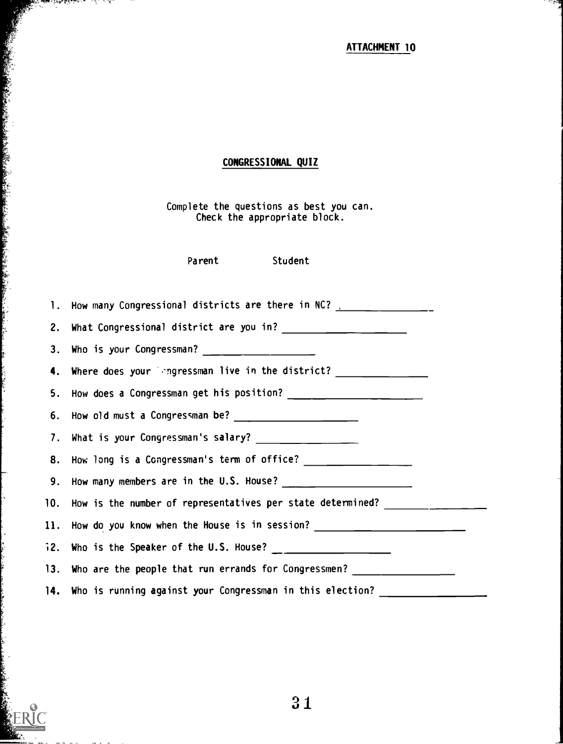ATTACHMENT 10

## CONGRESSIONAL QUIZ

Complete the questions as best you can. Check the appropriate block.

Parent Student

 $\sim$  in the fact of

k,

的复数形式 医心包膜炎 医心包膜炎 医心包膜炎 医心包膜炎 医心包膜炎 医心包膜炎 医心包膜炎 医心包膜炎 医心包膜炎 医心包膜炎 医心包膜炎 医心包膜炎 医心包膜炎 医心包膜炎 医心包膜炎 医心包膜炎 医心包膜炎 医心包膜炎 医心包膜炎 医心包膜炎 医心包膜炎 医心包膜炎 医心包膜炎 医心包膜炎 医心包膜炎 医心包膜炎 医心包膜炎 医心包膜炎 医心包膜炎 医心包膜炎 医心包膜炎 医心包膜炎

Ļ.

| 1. How many Congressional districts are there in NC? [100] [100] [100] [100] [100] [100] [100] [100] [100] [100] [100] [100] [100] [100] [100] [100] [100] [100] [100] [100] [100] [100] [100] [100] [100] [100] [100] [100] [ |
|--------------------------------------------------------------------------------------------------------------------------------------------------------------------------------------------------------------------------------|
|                                                                                                                                                                                                                                |
|                                                                                                                                                                                                                                |
| 4. Where does your impressman live in the district? ____________________________                                                                                                                                               |
|                                                                                                                                                                                                                                |
|                                                                                                                                                                                                                                |
|                                                                                                                                                                                                                                |
| 8. How long is a Congressman's term of office? ________________                                                                                                                                                                |
|                                                                                                                                                                                                                                |
| 10. How is the number of representatives per state determined?                                                                                                                                                                 |
| 11. How do you know when the House is in session? ______________________________                                                                                                                                               |
|                                                                                                                                                                                                                                |
| 13. Who are the people that run errands for Congressmen?                                                                                                                                                                       |
| 14. Who is running against your Congressman in this election?                                                                                                                                                                  |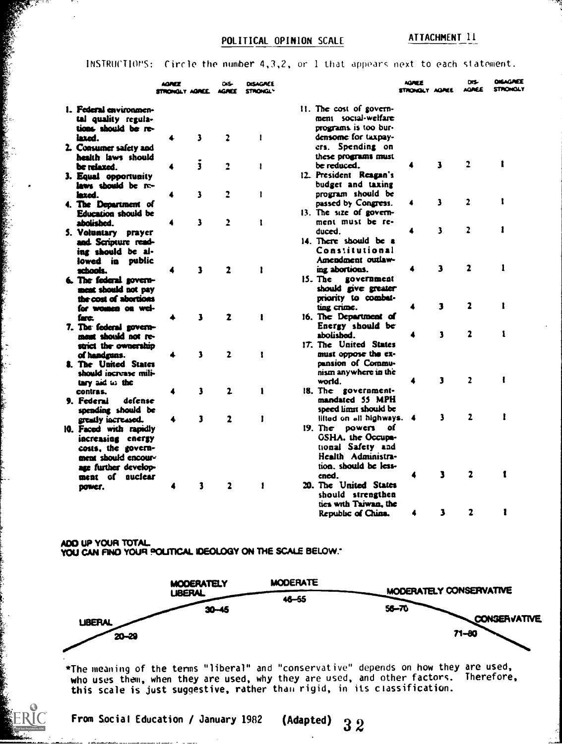#### POLITICAL OPINION SCALE ATTACHMENT 11

#### 1NSTRUCTIOVS: Circle the number 4,3,2, or 1 that appearc next to each statement.

|                                                                                                                                        | AGMEE<br>STRONOLY AGREE AGREE |                         | DIS-         | DISAGAEE<br><b>STRONGLY</b> | DIS-<br><b>AGNEE</b><br><b>AOREE</b><br><b>STRONOLY</b><br>STRONGLY AGREE                                            |
|----------------------------------------------------------------------------------------------------------------------------------------|-------------------------------|-------------------------|--------------|-----------------------------|----------------------------------------------------------------------------------------------------------------------|
| 1. Federal environmen-<br>tal quality regula-<br>tions should be re-<br>laxed.                                                         |                               | 3                       | 2            | 1                           | $11.$ The cost of govern-<br>ment social-welfare<br>programs is too bur-<br>densome for taxpay-                      |
| 2. Consumer safety and<br>health laws should                                                                                           |                               |                         |              |                             | ers. Spending on<br>these programs must                                                                              |
| be relaxed.<br>3. Equal opportunity                                                                                                    |                               | $\overline{\mathbf{3}}$ | $\ddot{ }$   | 1                           | 2<br>1<br>3<br>4<br>be reduced.<br>12. President Reagan's                                                            |
| laws should be re-<br>lexed.                                                                                                           |                               | 3                       | 2            | 1                           | budget and taxing<br>program should be<br>2<br>3<br>1<br>passed by Congress.                                         |
| 4. The Department of<br>Education should be<br>abolished.                                                                              |                               | 3                       | 2            | 1                           | $13.$ The size of govern-<br>ment must be re-                                                                        |
| 5. Voluntary prayer<br>and Scripture read-<br>ing should be al-                                                                        |                               |                         |              |                             | 2<br>3<br>duced.<br>14. There should be a<br>Constitutional                                                          |
| lowed in public<br>schools.<br>6. The federal govern-                                                                                  |                               | 3                       | $\mathbf{z}$ | 1                           | Amendment outlaw-<br>3<br>2<br>1<br>ing abortions.<br>$15.$ The<br><b>ROVEFRIEGE</b>                                 |
| ment should not pay<br>the cost of abortions<br>for women on wel-                                                                      |                               |                         |              |                             | should give greater<br>priority to combat-<br>$\mathbf{2}$<br>3<br>1<br>ting crime.                                  |
| fare.<br>7. The federal govern-<br>ment should not re-                                                                                 |                               | 3                       | 2            | ŧ                           | 16. The Department of<br>Energy should be<br>2<br>1<br>1<br>abolished.                                               |
| strict the ownership<br>of handruns.<br><b>8. The United States</b>                                                                    |                               | 3                       | $\mathbf{z}$ | 1                           | 17. The United States<br>must oppose the ex-<br>pansion of Commu-                                                    |
| should increase mili-<br>tary aid to the<br>contras.                                                                                   |                               | 3                       | 2            | î                           | nism anywhere in the<br>2<br>3<br>world.<br>18. The government-                                                      |
| defense<br>9. Federal<br>spending should be                                                                                            |                               | 3                       | $\mathbf{z}$ | 1                           | mandated 55 MPH<br>speed limit should be<br>$\mathbf{z}$<br>3<br>lifted on all highways.<br>4                        |
| greatly increased.<br>10. Faced with rapidly<br>increasing energy<br>costs, the govern-<br>ment should encour-<br>age further develop- |                               |                         |              |                             | powers of<br>19. The<br><b>GSHA.</b> the Occupa-<br>tional Safety and<br>Health Administra-<br>tion, should be less- |
| ment of nuclear<br>power.                                                                                                              |                               | 3                       | 2            |                             | ٦<br>2<br>ened.<br>20. The United States<br>should strengthen                                                        |
|                                                                                                                                        |                               |                         |              |                             | ties with Taiwan, the<br>2<br>1<br>3<br>Republic of China.                                                           |

ADO UP YOUR TOTAL. YOU CAN FIND YOUR POLITICAL IDEOLOGY ON THE SCALE BELOW.

「「大きなので、そのことは、そのことは、そのことは、そのことは、そのことは、そのことは、そのことは、そのことは、そのことは、そのことは、そのことは、そのことは、そのことは、そのことは、そのことは、そのことは、そのことは、そのことは、そのことは、そのことは、そのことは、そのことは、そのことは、そのことは、そのことは、そのことは、そのことは、そのことは、そのことは、そのことは、そのことは、そのことは、そのことは、そのことは、そのことは、

i<br>M



\*The meaning of the terms "liberal" and "conservative" depends on how they are used, who uses them, when they are used, why they are used, and other factors. Therefore,  $\qquad \qquad \qquad \qquad$ this scale is just suggestive, rather than rigid, in its classification.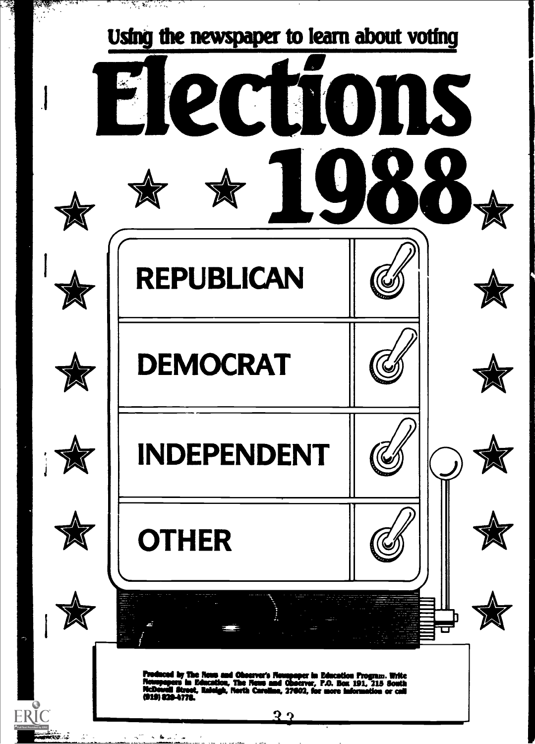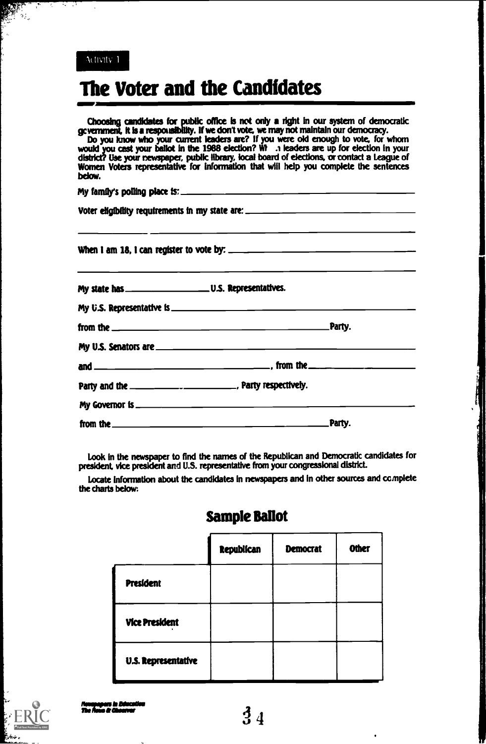

## The Voter and the Candidates

Choosing candidates for public office is not only a right in our system of democratic gcvernment, it is a responsibility. If we don't vote, we may not maintain our democracy.

Do you know who your current leaders are? If you were old enough to vote, for whom would you cast your ballot In the 1988 election? Wt .1 leaders are up for election in your district? Use your newspaper, public library, local board of elections, or tontact a League of Women Voters representative for information that will help you complete the sentences below.

My family's polling place  $ts$ : Voter eligibility requirements in my state are: \_\_\_\_\_\_\_\_\_\_\_\_\_\_\_\_\_\_\_\_\_\_\_\_\_\_\_\_\_\_\_\_\_

When I am 18, I can register to vote by: \_

Look in the newspaper to find the names of the Republican and Democratic candidates for president, vice president and U.S. representative from your congressional district.

Locate information about the candidates in newspapers and in other sources and complete the charts below:

|                       | <b>Republican</b> | <b>Democrat</b> | <b>Other</b> |
|-----------------------|-------------------|-----------------|--------------|
| <b>President</b>      |                   |                 |              |
| <b>Vice President</b> |                   |                 |              |
| U.S. Representative   |                   |                 |              |

## Sample Ballot



\_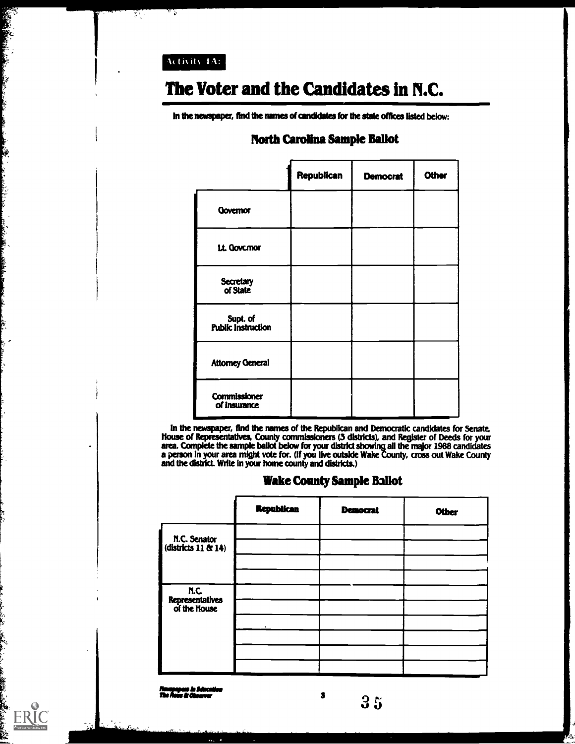Activity 1A:

ر س

स्

BARTHAM COMPANY

**CONTRACTOR** 

ERIC

## The Voter and the Candidates in N.C.

In the newspaper, find the names of candidates for the state offices listed below:

|                                | Republican | <b>Democrat</b> | Other |
|--------------------------------|------------|-----------------|-------|
| <b>Qovernor</b>                |            |                 |       |
| Lt. Govcmor                    |            |                 |       |
| Secretary<br>of State          |            |                 |       |
| Supt. of<br>Public Instruction |            |                 |       |
| <b>Attorney General</b>        |            |                 |       |
| Commissioner<br>of Insurance   |            |                 |       |

#### North Carolina Sample Ballot

In the newspaper, And the names of the Republican and Democratic candidates for Senate. House of Representatives, County commissioners (3 districts), and Register of Deeds for your area. Complete the sample ballot below for your district showing all the major 1988 candidates a person In your area might vote for. (If you live outside Wake County, cross out Wake County and the district. Write In your home county and districts.)

#### Wake County Sample Ballot

|                                         | <b>Republican</b> | <b>Democrat</b> | <b>Other</b> |
|-----------------------------------------|-------------------|-----------------|--------------|
| N.C. Senator<br>(districts 11 & 14)     |                   |                 |              |
| N.C.<br>Representatives<br>of the House |                   |                 |              |
|                                         |                   |                 |              |
|                                         |                   |                 |              |

a

Nousnaparo in Aduca<br>The Aous & Observer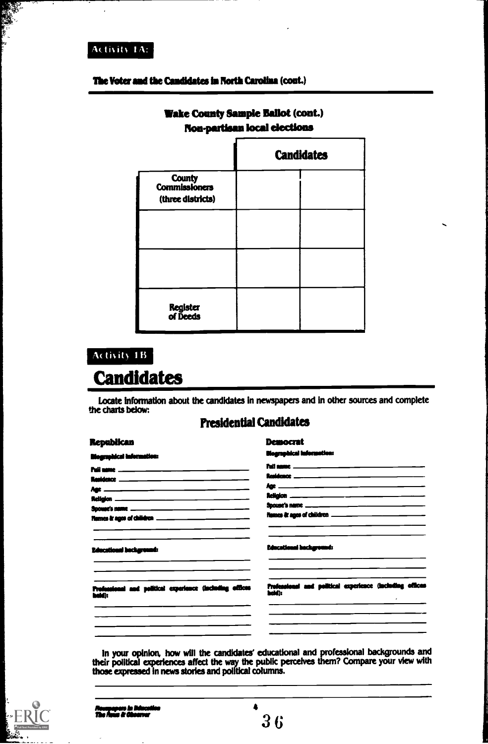#### **Activity 1A:**

#### The Voter and the Candidates in North Carolina (cont.)

| <b><i>Change Space</i></b>                   |                   |  |  |
|----------------------------------------------|-------------------|--|--|
|                                              | <b>Candidates</b> |  |  |
| County<br>Commissioners<br>(three districts) |                   |  |  |
|                                              |                   |  |  |
|                                              |                   |  |  |
| Register<br>of Deeds                         |                   |  |  |

#### **Wake County Sample Ballot (cont.) Non-pertisen local elections**

## Activity 1B **Candidates**

Locate information about the candidates in newspapers and in other sources and complete the charts below:

#### **Presidential Candidates**

| <b>Republican</b>                                                          | Democrat                                                           |
|----------------------------------------------------------------------------|--------------------------------------------------------------------|
| <b>Biographical Information:</b>                                           | <b>Biographical Information:</b>                                   |
|                                                                            |                                                                    |
|                                                                            |                                                                    |
|                                                                            |                                                                    |
|                                                                            |                                                                    |
|                                                                            |                                                                    |
| Tigmes & ages of children _______________________                          | Figmes & ages of children ______________________________           |
| <b>Educational background:</b>                                             | <b>Educational hockground:</b>                                     |
| Professional and political experience (including offices<br><b>bald)</b> : | Professional and political experience (including offices<br>heid): |
|                                                                            |                                                                    |

In your opinion, how will the candidates' educational and professional backgrounds and their political experiences affect the way the public perceives them? Compare your view with those expressed in news stories and politi



 $36$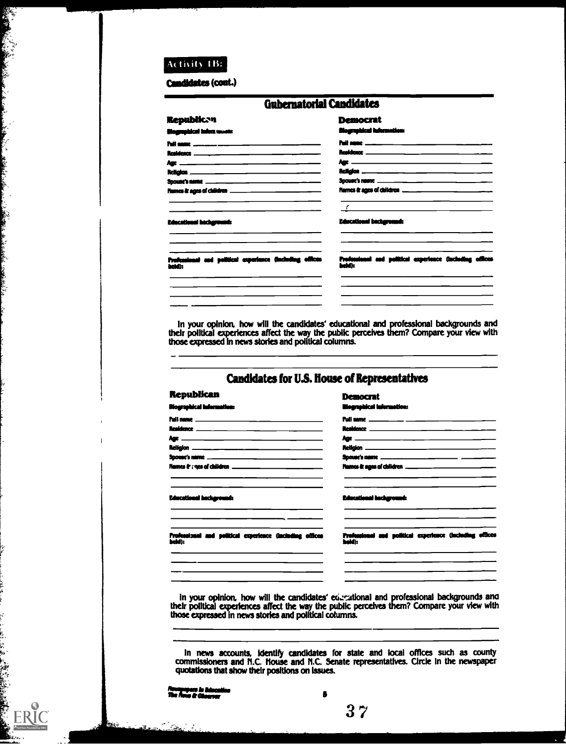#### Activity 1B:

A START AND A REAL AND A REAL AND A REAL AND A REAL AND A REAL AND A REAL AND A REAL AND A REAL AND A REAL AND

**ERIC** 

Candidates (cont.)

| <b>Gubernatorial Candidates</b>                          |                                                                                                                                                                                                                                                                                                                                                                                                     |
|----------------------------------------------------------|-----------------------------------------------------------------------------------------------------------------------------------------------------------------------------------------------------------------------------------------------------------------------------------------------------------------------------------------------------------------------------------------------------|
| <b>Republican</b>                                        | <b>Democrat</b>                                                                                                                                                                                                                                                                                                                                                                                     |
| iloaneekicsi infost www.                                 | <b>illegraphical Information:</b>                                                                                                                                                                                                                                                                                                                                                                   |
|                                                          | <u> Puil name ___ ___ __ __ __ ___ ___ __ __ __</u> ___ _                                                                                                                                                                                                                                                                                                                                           |
|                                                          |                                                                                                                                                                                                                                                                                                                                                                                                     |
|                                                          | $\mathbf{A} \mathbf{D} \mathbf{E}$                                                                                                                                                                                                                                                                                                                                                                  |
|                                                          |                                                                                                                                                                                                                                                                                                                                                                                                     |
|                                                          |                                                                                                                                                                                                                                                                                                                                                                                                     |
| Names & ages of children _____________________________   |                                                                                                                                                                                                                                                                                                                                                                                                     |
| Educational background:                                  | $\begin{picture}(100,100)(0,0) \put(0,0){\vector(1,0){100}} \put(10,0){\vector(1,0){100}} \put(10,0){\vector(1,0){100}} \put(10,0){\vector(1,0){100}} \put(10,0){\vector(1,0){100}} \put(10,0){\vector(1,0){100}} \put(10,0){\vector(1,0){100}} \put(10,0){\vector(1,0){100}} \put(10,0){\vector(1,0){100}} \put(10,0){\vector(1,0){100}} \put(10,0){\vector(1,0$<br><b>Educational background:</b> |
| Professional and political experience (including offices | Professional and political experience (including offices                                                                                                                                                                                                                                                                                                                                            |
| heid):                                                   | heidh                                                                                                                                                                                                                                                                                                                                                                                               |

In your opinion, how will the candidates' educational and professional backgrounds and their political experiences affect the way the public perceives them? Compare your view with those expressed in news stories and politi

#### Candidates for U.S. House of Representatives

#### **Republican**

Pull name

**Biographical Information:** 

**Democrat** graphical Informations  $\mathbf{r}$ Pull

| Names & ropes of children _______________________________          | <b>Names &amp; ages of children</b> _________________________________ |
|--------------------------------------------------------------------|-----------------------------------------------------------------------|
| <b>Educational hackground:</b>                                     | <b>Educational hockground:</b>                                        |
| Professional and political experience (including offices<br>beid): | Professional and political experience (including offices<br>heid):    |

In your opinion, how will the candidates' educational and professional backgrounds and their political experiences affect the way the public perceives them? Compare your view with those expressed in news stories and politi

In news accounts, identify candidates for state and local offices such as county commissioners and N.C. House and N.C. Senate representatives. Circle in the newspaper quotations that show their positions on issues.

napapas is j<br>Is fiess & Cha

Л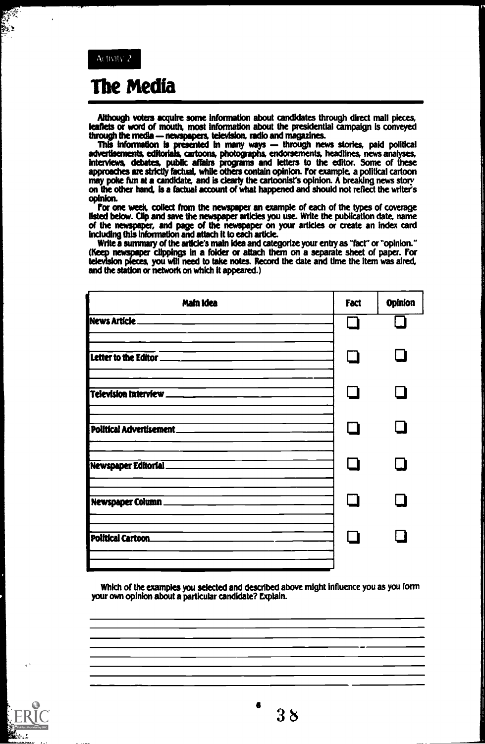$\mathbb{S}^2$ 

## The Media

Although voters acquire some information about candidates through direct mail pieces, leaflets or word of mouth, most information about the presidential campaign is conveyed through the media - newspapers, television, radio and magazines.

This information is presented in many ways — through news stories, paid political advertisements, editorials, cartoons, photographs, endorsements, headlines, news analyses, interviews, debates, public affaks programs and letters to the editor. Some of these approaches are strictly factual, while others contain opinion. for example, a political cartoon may poke fun at a candidate, and is clearly the cartoonist's opinion. A breaking news story on the other hand, is a factual account of what happened and should not reflect the writer's

For one week, collect from the newspaper an example of each of the types of coverage listed below. Clip and save the newspaper articles you use. Write the publication date, name of the newspaper, and page of the newspaper on your articles or create an index card including this information and attach It to each article.

Write a summary of the article's main Idea and categorize your entry as "fact" or "opinion." (Keep newspaper clippings in a folder or attach them on a separate sheet of paper. For television pieces, you will need to take notes. Record the date and time the item was aired, and the station or network on which it appeared.)

| Main Idea               | <b>Fact</b> | Opinion |
|-------------------------|-------------|---------|
| News Article            |             |         |
| Letter to the Editor    | $\mathbf I$ |         |
| Television Interview    | L I         |         |
| Political Advertisement |             |         |
| Newspaper Editorial_    |             |         |
| Newspaper Column.       | - 1         |         |
| Political Cartoon.      |             |         |
|                         |             |         |

Which of the examples you selected and described above might influence you as you form your own opinion about a particular candidate? Explain.

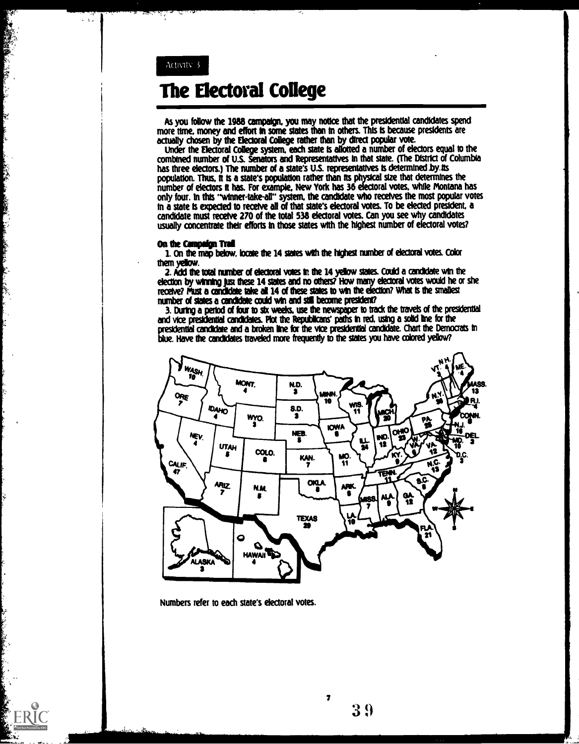Activity 3

ķ.

Sales States

**SECTION CONTRACTOR** 

**CONTRACTOR** ķ 

## The Electoral College

As you follow the 1988 campaign. you may notice that the presidential candidates spend more time. money and effort In some states than In others. This Is because presidents are actually chosen by the Electoral College rather than by direct popular vote.

Under the Electoral College system, each state Is allotted a number of electors equal to the combined number of U.S. Senators and Representatives In that state. (The District of Columbia has three electors.) The number of a state's U.S. representatives is determined by its population. Thus, it is a state's population rather than its physical size that determines the number of electors It has. For example. New York has 36 electoral votes. while Montana has only four. In this "winner-take-all" system, the candidate who receives the most popular votes In a state is expected to receive all of that state's electoral votes. To be elected president, a candidate must receive 270 of the total 538 electoral votes. Can you see why candidates usually concentrate their efforts In those states with the highest number of electoral votes?

#### On the Campaign Trail

1. On the map below, locate the 14 states with the highest number of electoral votes. Color them yellow.

2.2.Kid the total ranter of decimal votes in the 14 yellow states. Could a candidate win the election by winning just these 14 states and no others? How many electoral votes would he or she receive? Must a candidate take all 14 of these states to win the election? What is the smallest number of states a candidate could win and still become president?

3. During a period of four to stx weeks, use the newspaper to tradc the travels of the presidential and vice presidential candidates. Plot the Republicans' paths in red, using a solid line for the presidential candidate and a broken line for the vte presidential candidate. Chart the Democrats in due. Have the candidates traveled more frequently to the states you have colored yellow?



Numbers refer to each state's electoral votes.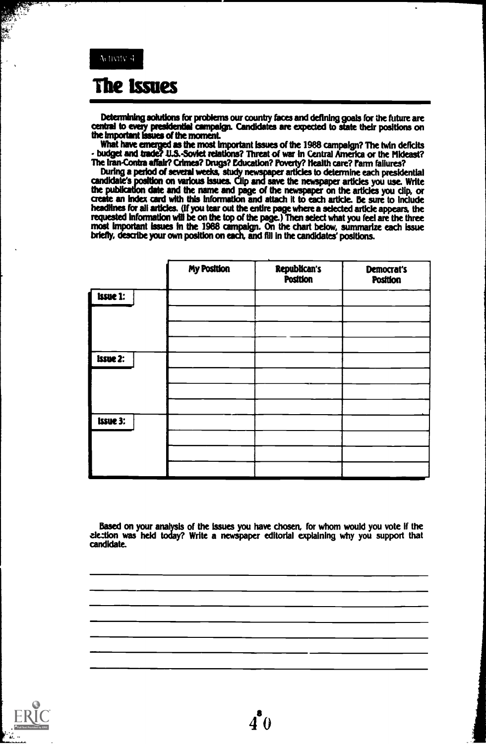## **The Issues**

Determining solutions for problems our country faces and defining goals for the future are central to every presidential campaign. Candidates are expected to state their positions on the important issues of the moment.

What have anemed as the most Important Issues of the 1988 campaign? The twin deficits - budget and trade? U.S.-Soviet relations? Threat of war in Central America or the Mideast? The Iran-Contra affair? Crimes? Drugs? Education? Poverty? Health care? Fenn failures?

During a period of several weeks, study newspaper articles to determine each presidential candidate's position on various issues. Clip and save the newspaper articles you use. Write the publication date and the name and page of the newspaper on the articles you clip, or an index card with this Information and attach it to each article. Be sure to Include headlines for all articles. (if you tear out the entire page where a selected article appears, the requested information will be on the top of the page.) Then select what you feel are the three most important issues in the 1988 compaigpt. On the chart below, summarize each issue briefly, describe your own position on each, and MI in the candidates' positions.

|                 | <b>My Position</b> | <b>Republican's</b><br><b>Position</b> | Democrat's<br><b>Position</b> |
|-----------------|--------------------|----------------------------------------|-------------------------------|
| <b>Issue 1:</b> |                    |                                        |                               |
|                 |                    |                                        |                               |
|                 |                    |                                        |                               |
| <b>Issue 2:</b> |                    |                                        |                               |
|                 |                    |                                        |                               |
|                 |                    |                                        |                               |
| <b>Issue 3:</b> |                    |                                        |                               |
|                 |                    |                                        |                               |
|                 |                    |                                        |                               |
|                 |                    |                                        |                               |

Based on your analysis of the issues you have chosen, for whom would you vote If the zieztion was held today? Write a newspaper editorial explaining why you support that candidate.

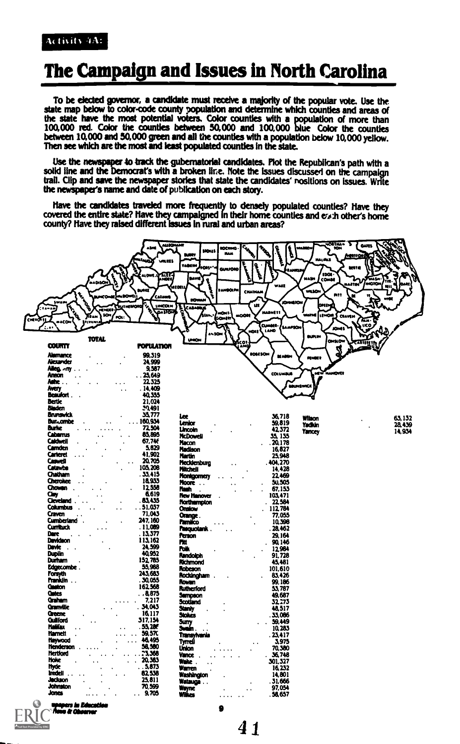#### **Activity 4A:**

## The Campaign and Issues in North Carolina

To be elected governor, a candidate must receive a majority of the popular vote. Use the state map below to color-code county population and determine which counties and areas of the state have the most potential voters. Color counties with a population of more than 100,000 red. Color the counties between 50,000 and 100,000 blue Color the counties<br>between 10,000 and 50,000 green and all the counties with a population below 10,000 yellow. Then see which are the most and least populated counties in the state.

Use the newspaper to track the gubernatorial candidates. Plot the Republican's path with a solid line and the Democrat's with a broken line. Note the issues discussed on the campaign trail. Clip and save the newspaper stories that state the candidates' positions on issues. Write the newspaper's name and date of publication on each story.

Have the candidates traveled more frequently to densely populated counties? Have they covered the entire state? Have they campaigned in their home counties and exh other's home<br>county? Have they raised different issues in rural and urban areas?



**upapers in Educatio**<br>'Amm & Chearner

RĬ<sup>(</sup>

d by ERIC

ó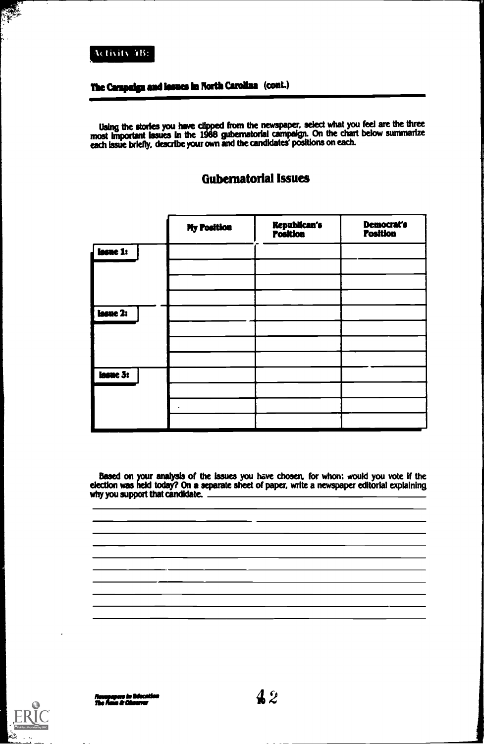#### Activity 4B:

## The Campaign and lesues in North Carolina (cont.)

Using the stories you have clipped from the newspaper, select what you feel are the three most important issues in the 1988 gubernatorial campaign. On the chart below summarize each Issue briefly, describe your own and the candidates' positions on each.

|          | <b>My Position</b> | <b>Republican's<br/>Position</b> | Democrat's<br><b>Position</b> |
|----------|--------------------|----------------------------------|-------------------------------|
| lasme 1: |                    |                                  |                               |
|          |                    |                                  |                               |
|          |                    |                                  |                               |
| lasue 2: |                    |                                  |                               |
|          |                    |                                  |                               |
|          |                    |                                  |                               |
|          |                    |                                  |                               |
| lasue 3: |                    |                                  |                               |
|          |                    |                                  |                               |
|          |                    |                                  |                               |
|          |                    |                                  |                               |

#### Gubernatorial Issues

Based on your analysis of the issues you have chosen, for whon: would you vote if the election was held today? On a separate sheet of paper, write a newspaper editorial explaining why you support that candidate. \_



Nonsymptom in Education  $A\,2$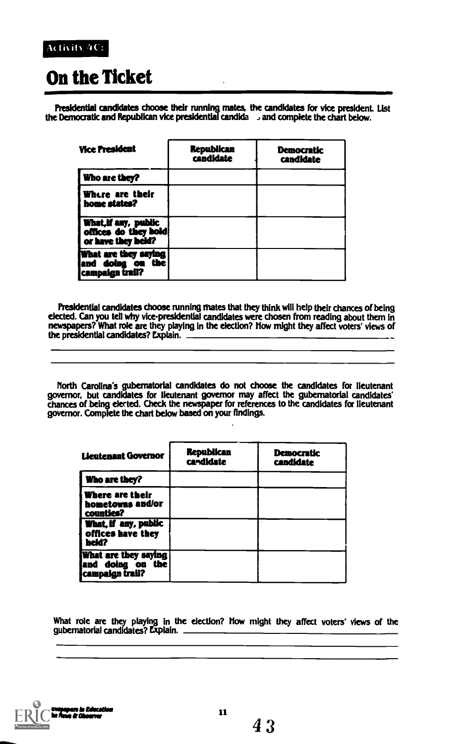#### Activity 4C:

## On the Ticket

Presidential candidates choose their running mates, the candidates for vice president. List the Democratic and Republican vice presidential candida and complete the chart below.

| <b>Vice President</b>                                              | <b>Republican</b><br>candidate | <b>Democratic</b><br><b>candidate</b> |
|--------------------------------------------------------------------|--------------------------------|---------------------------------------|
| Who are they?                                                      |                                |                                       |
| Where are their<br>home states?                                    |                                |                                       |
| What, if any, public<br>offices do they hold<br>or have they held? |                                |                                       |
| What are they saying<br>and doing on the<br>campaign trail?        |                                |                                       |

Presidential candidates choose running mates that they think will help their chances of being elected. Can you tell why vice-presidential candidates were chosen from reading about them in newspapers? What role are they playing in the election? How might they affect voters' views of the presidential candidates? Explain.

North Carolina's gubernatorial candidates do not choose the candidates for lieutenant governor, but candidates for lieutenant governor may affect the gubernatorial candidates' chances of being elected. Check the newspaper for references to the candidates for lieutenant governor. Complete the chart below based on your findings.

| <b>Lieutenant Governor</b>                                   | <b>Republican</b><br>candidate | <b>Democratic</b><br><b>candidate</b> |
|--------------------------------------------------------------|--------------------------------|---------------------------------------|
| <b>Who are they?</b>                                         |                                |                                       |
| i Where are their<br>hometowns and/or<br>counties?           |                                |                                       |
| What, if any, public<br>offices have they<br>heid?           |                                |                                       |
| What are they saying<br>and doing on the<br>icampaign trail? |                                |                                       |

What role are they playing in the election? How might they affect voters' views of the gubernatorial candidates? Explain

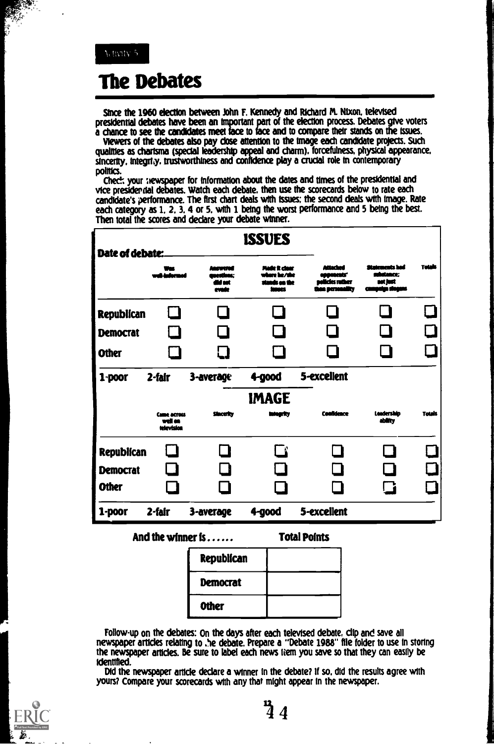## **The Debates**

Since the 1960 election between John F. Kennedy and Richard M. Nixon, televised presidential debates have been an important part of the election process. Debates give voters a chance to see the candidates meet face to face and to compare their stands on the issues.

Viewers of the debates also pay close attention to the image each candidate projects. Such qualities as charisma (special leadership appeal and charm), forcefulness, physical appearance, sincerity, integrity, trustworthiness and confidence play a crucial role in contemporary politics.

Check your newspaper for information about the dates and times of the presidential and vice presidential debates. Watch each debate, then use the scorecards below to rate each candidate's performance. The first chart deals with issues; the second deals with image. Rate each category as 1, 2, 3, 4 or 5, with 1 being the worst performance and 5 being the best. Then total the scores and declare your debate winner.

| Date of debate:                                      |                                             |                                | <b>ISSUES</b>                                      |                                                             |                                         |               |
|------------------------------------------------------|---------------------------------------------|--------------------------------|----------------------------------------------------|-------------------------------------------------------------|-----------------------------------------|---------------|
|                                                      | المصبحاط                                    | www<br>وعمائم<br>M net<br>oude | Made it claar<br>re he/she<br>stands on the<br>mes | أخلفتها<br>anoonests'<br>elicies ruther<br>than permanifity | Statements had<br>shekance:<br>net fest | Totals        |
| <b>Republican</b><br><b>Democrat</b>                 |                                             | a s<br>l 1                     |                                                    | $\mathbf{I}$                                                |                                         | ▁▌            |
| <b>Other</b>                                         |                                             | l 1                            |                                                    |                                                             |                                         |               |
| $1$ -poor                                            | 2-fair                                      | 3-average                      | 4-good                                             | 5-excellent                                                 |                                         |               |
|                                                      | <b>Came across</b><br>well on<br>television | <b>Sincerity</b>               | <b>IMAGE</b><br>ntear 17                           | <b>Confidence</b>                                           | Leadership<br>ability                   | <b>Totals</b> |
| <b>Republican</b><br><b>Democrat</b><br><b>Other</b> |                                             |                                | - 4                                                |                                                             | a ka<br>l 2                             |               |
| 1-poor                                               | 2-fair                                      | 3-average                      | 4-good                                             | 5-excellent                                                 |                                         |               |

And the winner is . . . . . .

**Total Points** 

| <b>Republican</b> |  |
|-------------------|--|
| Democrat          |  |
| <b>Other</b>      |  |

Follow-up on the debates: On the days after each televised debate, clip and save all newspaper articles relating to the debate. Prepare a "Debate 1988" file folder to use in storing the newspaper articles. Be sure to label each news frem you save so that they can easily be identified.

Did the newspaper article declare a winner in the debate? If so, did the results agree with yours? Compare your scorecards with any that might appear in the newspaper.

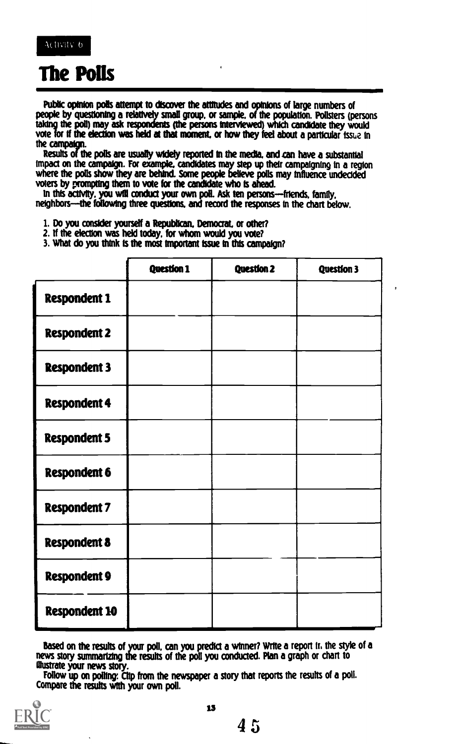

## The Polls

Public opinion polls attempt to discover the attitudes and opinions of large numbers of people by questioning a relatively small group, or sample, of the population. Pollsters (persons taking the poll) may ask respondents (the persons interviewed) which candidate they would vote for if the election was held at that moment, or how they feel about a particular issue in the **campaign** 

Results of the polls are usually widely reported in the media, and can have a substantial Impact on the campaign. For example, candidates may step up their campaigning In a region where the polls show they are behind. Some people believe polls may Influence undecided voters by prompting them to vote for the candidate who Is ahead.

In this activity, you will conduct your own poll. Ask ten persons---friends, family, neighbors-the following three questions, and record the responses in the chart below.

1. Do you consider yourself a Republican. Democrat, or other?

- 2. If the election was held today, for whom would you vote?
- 3. What do you think Is the most Important issue in this campaign?

|                      | <b>Question 1</b> | <b>Question 2</b> | <b>Question 3</b> |
|----------------------|-------------------|-------------------|-------------------|
| <b>Respondent 1</b>  |                   |                   |                   |
| <b>Respondent 2</b>  |                   |                   |                   |
| <b>Respondent 3</b>  |                   |                   |                   |
| <b>Respondent 4</b>  |                   |                   |                   |
| <b>Respondent 5</b>  |                   |                   |                   |
| <b>Respondent 6</b>  |                   |                   |                   |
| <b>Respondent 7</b>  |                   |                   |                   |
| <b>Respondent 8</b>  |                   |                   |                   |
| <b>Respondent 9</b>  |                   |                   |                   |
| <b>Respondent 10</b> |                   |                   |                   |

Based on the results of your poll, can you predict a winner? Write a report Ir, the style of a news story summarizing the results of the poll you conducted. Plan a graph or chart to Mustrate your news story.

Follow up on polling. Clip from the newspaper a story that reports the results of a poll. Compare the results with your own poll.

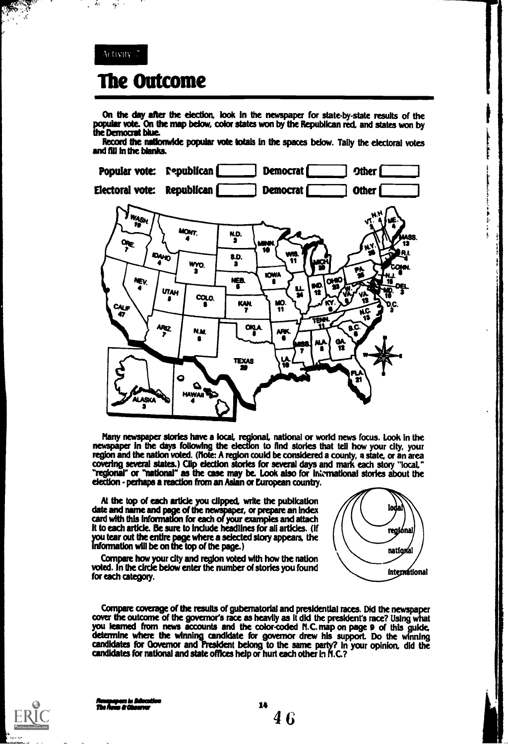#### $\lambda$  (tivity) 7

 $\frac{1}{2}$  ,  $\frac{1}{2}$ 

Á.

## The Outcome

On the day after the election, look in the newspaper for state-by-state results of the popular vote. On the<br>the Democrat blue. On map below, color states won by the Republican red, and states won by u.

Record the nationwide popular vote totals in the spaces below. Tally the electoral votes and fill in the blanks.



Many newspaper stories have a local regionaL national or world news focus. Look In the newspaper in the days following the election to find stories that tell how your dty, your region and the nation voted. (Note: A region could be considered a county, a state, or an area covering several states.) Clip election stories for several days and mark each story "local," "regional" or "national" as the case may be. Look also for international stories about the election - perhaps a reaction from an Asian or European country.

At the top of each article you clipped, write the publication  $\mathcal{N}$ date and name and page of the newspaper, or prepare an index card with this information for each of your examples and attach ft to each article. Be sure to include headlines for all articles. (If you tear out the entire page where a selected story appears, the information will be on the top of the page.)

ioda regiónal national **International** 

Compare how your city and region voted with how the nation voted. In the circle below enter the number of stories you found for each category.

Compare coverage of the results of gubernatorial and presidential races. Did the newspaper cover the outcome of the governor's race as heavily as It did the president's race? Using what you learned from news accounts and the color-coded N.C. map on page 9 of this guide, determine where the winning candidate for governor drew his support. Do the winning candidates for Governor and President belong to the same party? In your opinion, did the candidates for national and state offices help or hurt each other in N.C.?

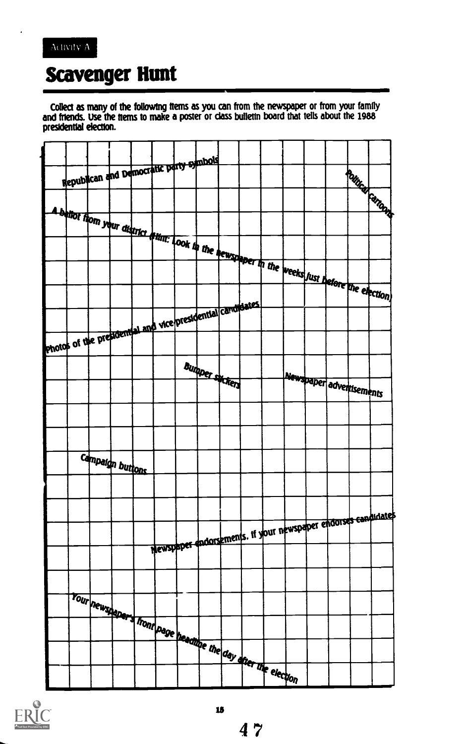

## **Scavenger Hunt**

Collect as many of the following ftems as you can from the newspaper or from your family and friends. Use the trems to make a poster or class builetin board that tells about the 1988 presidential election.





 $47$